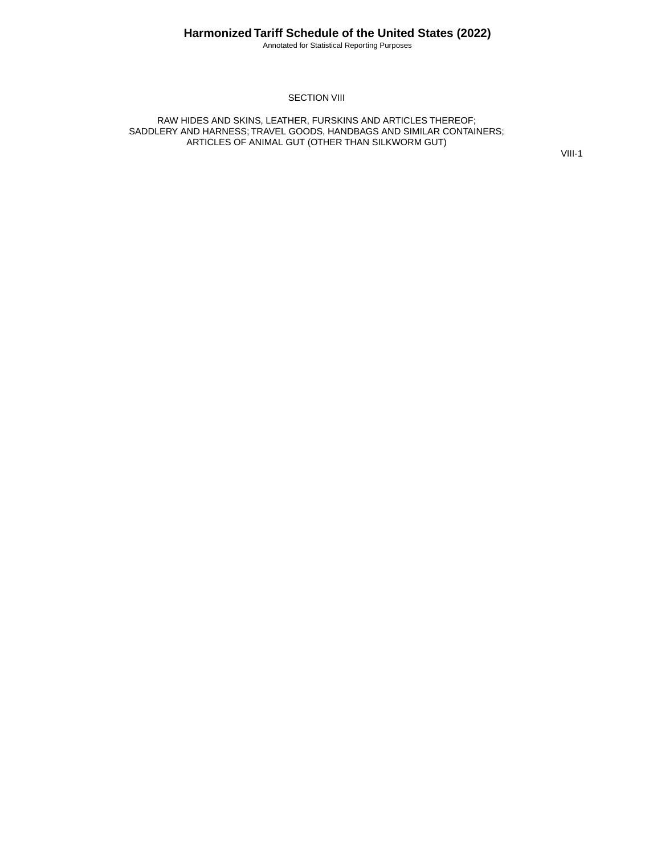Annotated for Statistical Reporting Purposes

#### SECTION VIII

RAW HIDES AND SKINS, LEATHER, FURSKINS AND ARTICLES THEREOF; SADDLERY AND HARNESS; TRAVEL GOODS, HANDBAGS AND SIMILAR CONTAINERS; ARTICLES OF ANIMAL GUT (OTHER THAN SILKWORM GUT)

VIII-1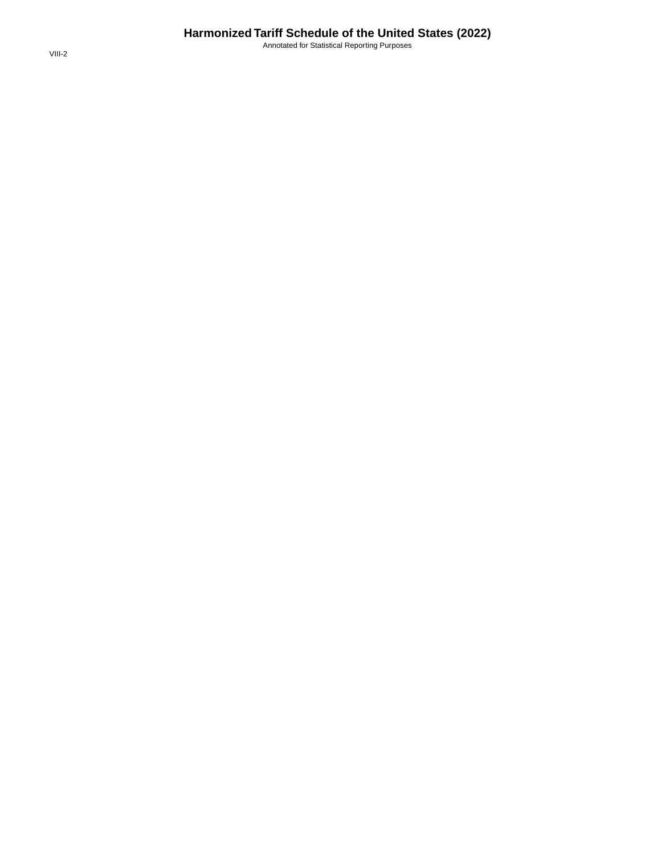Annotated for Statistical Reporting Purposes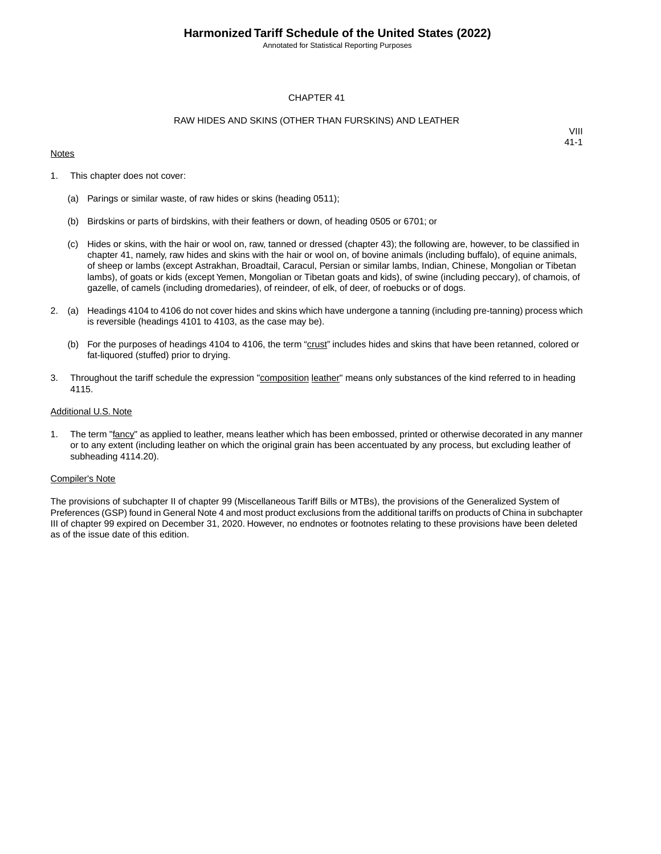Annotated for Statistical Reporting Purposes

#### CHAPTER 41

#### RAW HIDES AND SKINS (OTHER THAN FURSKINS) AND LEATHER

#### **Notes**

VIII 41-1

- 1. This chapter does not cover:
	- (a) Parings or similar waste, of raw hides or skins (heading 0511);
	- (b) Birdskins or parts of birdskins, with their feathers or down, of heading 0505 or 6701; or
	- (c) Hides or skins, with the hair or wool on, raw, tanned or dressed (chapter 43); the following are, however, to be classified in chapter 41, namely, raw hides and skins with the hair or wool on, of bovine animals (including buffalo), of equine animals, of sheep or lambs (except Astrakhan, Broadtail, Caracul, Persian or similar lambs, Indian, Chinese, Mongolian or Tibetan lambs), of goats or kids (except Yemen, Mongolian or Tibetan goats and kids), of swine (including peccary), of chamois, of gazelle, of camels (including dromedaries), of reindeer, of elk, of deer, of roebucks or of dogs.
- 2. (a) Headings 4104 to 4106 do not cover hides and skins which have undergone a tanning (including pre-tanning) process which is reversible (headings 4101 to 4103, as the case may be).
	- (b) For the purposes of headings 4104 to 4106, the term "crust" includes hides and skins that have been retanned, colored or fat-liquored (stuffed) prior to drying.
- 3. Throughout the tariff schedule the expression "composition leather" means only substances of the kind referred to in heading 4115.

#### Additional U.S. Note

1. The term "fancy" as applied to leather, means leather which has been embossed, printed or otherwise decorated in any manner or to any extent (including leather on which the original grain has been accentuated by any process, but excluding leather of subheading 4114.20).

#### Compiler's Note

The provisions of subchapter II of chapter 99 (Miscellaneous Tariff Bills or MTBs), the provisions of the Generalized System of Preferences (GSP) found in General Note 4 and most product exclusions from the additional tariffs on products of China in subchapter III of chapter 99 expired on December 31, 2020. However, no endnotes or footnotes relating to these provisions have been deleted as of the issue date of this edition.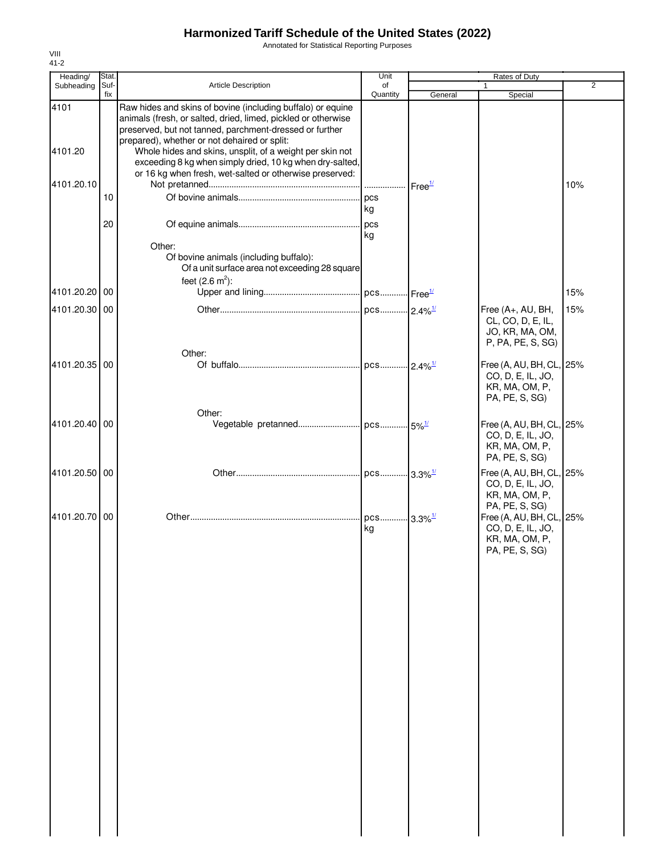Annotated for Statistical Reporting Purposes

| Heading/      | Stat.       |                                                                                                                                                                                                                                         | Unit                         |         | Rates of Duty                                                                                       |                |
|---------------|-------------|-----------------------------------------------------------------------------------------------------------------------------------------------------------------------------------------------------------------------------------------|------------------------------|---------|-----------------------------------------------------------------------------------------------------|----------------|
| Subheading    | Suf-<br>fix | Article Description                                                                                                                                                                                                                     | of<br>Quantity               | General | 1<br>Special                                                                                        | $\overline{2}$ |
| 4101          |             | Raw hides and skins of bovine (including buffalo) or equine<br>animals (fresh, or salted, dried, limed, pickled or otherwise<br>preserved, but not tanned, parchment-dressed or further<br>prepared), whether or not dehaired or split: |                              |         |                                                                                                     |                |
| 4101.20       |             | Whole hides and skins, unsplit, of a weight per skin not<br>exceeding 8 kg when simply dried, 10 kg when dry-salted,<br>or 16 kg when fresh, wet-salted or otherwise preserved:                                                         |                              |         |                                                                                                     |                |
| 4101.20.10    |             |                                                                                                                                                                                                                                         |                              |         |                                                                                                     | 10%            |
|               | 10          |                                                                                                                                                                                                                                         | pcs<br>kg                    |         |                                                                                                     |                |
|               | 20          |                                                                                                                                                                                                                                         | pcs.                         |         |                                                                                                     |                |
|               |             |                                                                                                                                                                                                                                         | kg                           |         |                                                                                                     |                |
|               |             | Other:<br>Of bovine animals (including buffalo):<br>Of a unit surface area not exceeding 28 square<br>feet $(2.6 \text{ m}^2)$ :                                                                                                        |                              |         |                                                                                                     |                |
| 4101.20.20    | 00          |                                                                                                                                                                                                                                         |                              |         |                                                                                                     | 15%            |
| 4101.20.30 00 |             |                                                                                                                                                                                                                                         |                              |         | Free (A+, AU, BH,                                                                                   | 15%            |
|               |             | Other:                                                                                                                                                                                                                                  |                              |         | CL, CO, D, E, IL,<br>JO, KR, MA, OM,<br>P, PA, PE, S, SG)                                           |                |
| 4101.20.35 00 |             |                                                                                                                                                                                                                                         |                              |         | Free (A, AU, BH, CL, 25%<br>CO, D, E, IL, JO,<br>KR, MA, OM, P,<br>PA, PE, S, SG)                   |                |
| 4101.20.40 00 |             | Other:                                                                                                                                                                                                                                  |                              |         | Free (A, AU, BH, CL, 25%<br>CO, D, E, IL, JO,<br>KR, MA, OM, P,<br>PA, PE, S, SG)                   |                |
| 4101.20.50 00 |             |                                                                                                                                                                                                                                         |                              |         | Free (A, AU, BH, CL, 25%<br>CO, D, E, IL, JO,<br>KR, MA, OM, P,                                     |                |
| 4101.20.70 00 |             |                                                                                                                                                                                                                                         | pcs 3.3% <sup>1/</sup><br>kg |         | PA, PE, S, SG)<br>Free (A, AU, BH, CL, 25%<br>CO, D, E, IL, JO,<br>KR, MA, OM, P,<br>PA, PE, S, SG) |                |
|               |             |                                                                                                                                                                                                                                         |                              |         |                                                                                                     |                |
|               |             |                                                                                                                                                                                                                                         |                              |         |                                                                                                     |                |
|               |             |                                                                                                                                                                                                                                         |                              |         |                                                                                                     |                |
|               |             |                                                                                                                                                                                                                                         |                              |         |                                                                                                     |                |
|               |             |                                                                                                                                                                                                                                         |                              |         |                                                                                                     |                |
|               |             |                                                                                                                                                                                                                                         |                              |         |                                                                                                     |                |
|               |             |                                                                                                                                                                                                                                         |                              |         |                                                                                                     |                |
|               |             |                                                                                                                                                                                                                                         |                              |         |                                                                                                     |                |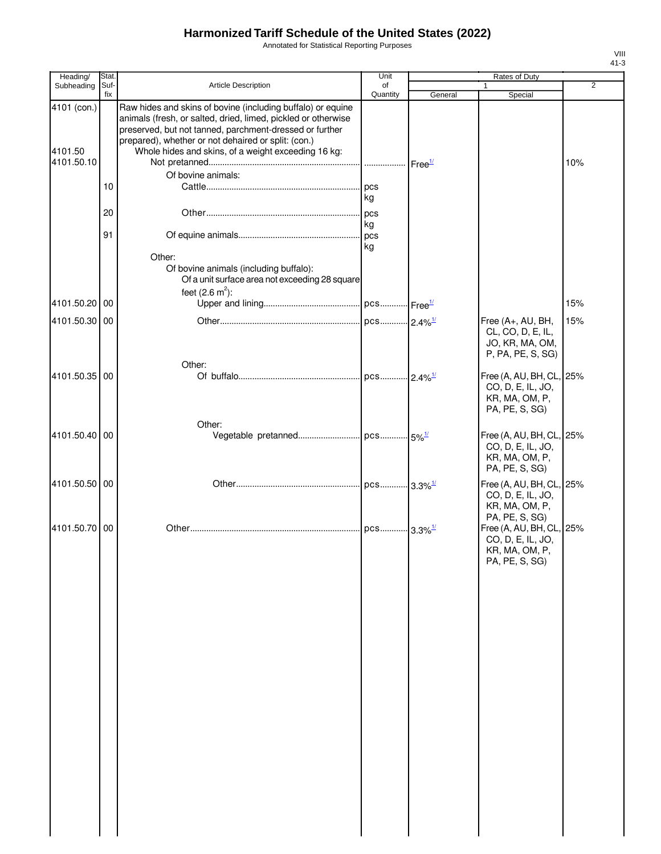Annotated for Statistical Reporting Purposes

| Heading/                             | <b>Stat</b> |                                                                                                                                                                                                                                                                                                       | Unit           |         | Rates of Duty                                                                     |     |
|--------------------------------------|-------------|-------------------------------------------------------------------------------------------------------------------------------------------------------------------------------------------------------------------------------------------------------------------------------------------------------|----------------|---------|-----------------------------------------------------------------------------------|-----|
| Subheading                           | Suf-<br>fix | Article Description                                                                                                                                                                                                                                                                                   | of<br>Quantity | General | 1<br>Special                                                                      | 2   |
| 4101 (con.)<br>4101.50<br>4101.50.10 |             | Raw hides and skins of bovine (including buffalo) or equine<br>animals (fresh, or salted, dried, limed, pickled or otherwise<br>preserved, but not tanned, parchment-dressed or further<br>prepared), whether or not dehaired or split: (con.)<br>Whole hides and skins, of a weight exceeding 16 kg: |                |         |                                                                                   | 10% |
|                                      |             | Of bovine animals:                                                                                                                                                                                                                                                                                    |                |         |                                                                                   |     |
|                                      | 10          |                                                                                                                                                                                                                                                                                                       | kg             |         |                                                                                   |     |
|                                      | 20          |                                                                                                                                                                                                                                                                                                       | kg             |         |                                                                                   |     |
|                                      | 91          |                                                                                                                                                                                                                                                                                                       | kg             |         |                                                                                   |     |
|                                      |             | Other:<br>Of bovine animals (including buffalo):<br>Of a unit surface area not exceeding 28 square<br>feet $(2.6 \text{ m}^2)$ :                                                                                                                                                                      |                |         |                                                                                   |     |
| 4101.50.20 00                        |             |                                                                                                                                                                                                                                                                                                       |                |         |                                                                                   | 15% |
| 4101.50.30 00                        |             |                                                                                                                                                                                                                                                                                                       |                |         | Free (A+, AU, BH,<br>CL, CO, D, E, IL,<br>JO, KR, MA, OM,<br>P, PA, PE, S, SG)    | 15% |
| 4101.50.35 00                        |             | Other:                                                                                                                                                                                                                                                                                                |                |         | Free (A, AU, BH, CL,<br>CO, D, E, IL, JO,<br>KR, MA, OM, P,<br>PA, PE, S, SG)     | 25% |
|                                      |             | Other:                                                                                                                                                                                                                                                                                                |                |         |                                                                                   |     |
| 4101.50.40 00                        |             |                                                                                                                                                                                                                                                                                                       |                |         | Free (A, AU, BH, CL, 25%<br>CO, D, E, IL, JO,<br>KR, MA, OM, P,<br>PA, PE, S, SG) |     |
| 4101.50.50 00                        |             |                                                                                                                                                                                                                                                                                                       |                |         | Free (A, AU, BH, CL, 25%<br>CO, D, E, IL, JO,<br>KR, MA, OM, P,<br>PA, PE, S, SG) |     |
| 4101.50.70 00                        |             |                                                                                                                                                                                                                                                                                                       |                |         | Free (A, AU, BH, CL, 25%<br>CO, D, E, IL, JO,<br>KR, MA, OM, P<br>PA, PE, S, SG)  |     |
|                                      |             |                                                                                                                                                                                                                                                                                                       |                |         |                                                                                   |     |
|                                      |             |                                                                                                                                                                                                                                                                                                       |                |         |                                                                                   |     |
|                                      |             |                                                                                                                                                                                                                                                                                                       |                |         |                                                                                   |     |
|                                      |             |                                                                                                                                                                                                                                                                                                       |                |         |                                                                                   |     |
|                                      |             |                                                                                                                                                                                                                                                                                                       |                |         |                                                                                   |     |
|                                      |             |                                                                                                                                                                                                                                                                                                       |                |         |                                                                                   |     |
|                                      |             |                                                                                                                                                                                                                                                                                                       |                |         |                                                                                   |     |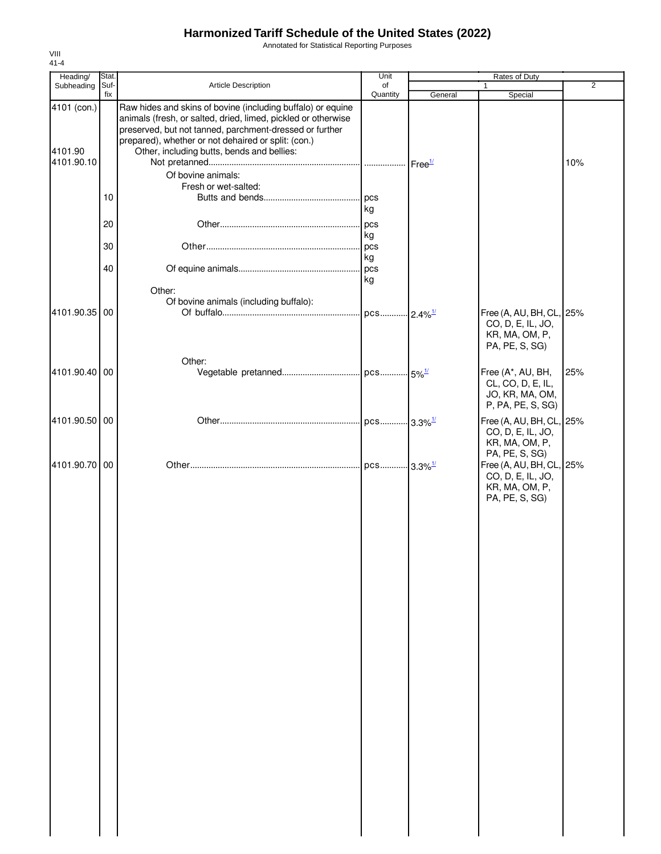Annotated for Statistical Reporting Purposes

| Heading/                             | Stat.       |                                                                                                                                                                                                                                                                                              | Unit           |         | <b>Rates of Duty</b>                                                                                |                |
|--------------------------------------|-------------|----------------------------------------------------------------------------------------------------------------------------------------------------------------------------------------------------------------------------------------------------------------------------------------------|----------------|---------|-----------------------------------------------------------------------------------------------------|----------------|
| Subheading                           | Suf-<br>fix | Article Description                                                                                                                                                                                                                                                                          | of<br>Quantity | General | $\mathbf{1}$<br>Special                                                                             | $\overline{2}$ |
| 4101 (con.)<br>4101.90<br>4101.90.10 |             | Raw hides and skins of bovine (including buffalo) or equine<br>animals (fresh, or salted, dried, limed, pickled or otherwise<br>preserved, but not tanned, parchment-dressed or further<br>prepared), whether or not dehaired or split: (con.)<br>Other, including butts, bends and bellies: |                |         |                                                                                                     | 10%            |
|                                      | 10          | Of bovine animals:<br>Fresh or wet-salted:                                                                                                                                                                                                                                                   | l pcs<br>kg    |         |                                                                                                     |                |
|                                      | 20          |                                                                                                                                                                                                                                                                                              | pcs<br>kg      |         |                                                                                                     |                |
|                                      | 30          |                                                                                                                                                                                                                                                                                              | pcs<br>kg      |         |                                                                                                     |                |
|                                      | 40          |                                                                                                                                                                                                                                                                                              | kg             |         |                                                                                                     |                |
| 4101.90.35 00                        |             | Other:<br>Of bovine animals (including buffalo):                                                                                                                                                                                                                                             |                |         | Free (A, AU, BH, CL, 25%<br>CO, D, E, IL, JO,<br>KR, MA, OM, P,<br>PA, PE, S, SG)                   |                |
| 4101.90.40 00                        |             | Other:                                                                                                                                                                                                                                                                                       |                |         | Free (A*, AU, BH,<br>CL, CO, D, E, IL,<br>JO, KR, MA, OM,<br>P, PA, PE, S, SG)                      | 25%            |
| 4101.90.50 00                        |             |                                                                                                                                                                                                                                                                                              |                |         | Free (A, AU, BH, CL, 25%<br>CO, D, E, IL, JO,<br>KR, MA, OM, P,                                     |                |
| 4101.90.70 00                        |             |                                                                                                                                                                                                                                                                                              |                |         | PA, PE, S, SG)<br>Free (A, AU, BH, CL, 25%<br>CO, D, E, IL, JO,<br>KR, MA, OM, P,<br>PA, PE, S, SG) |                |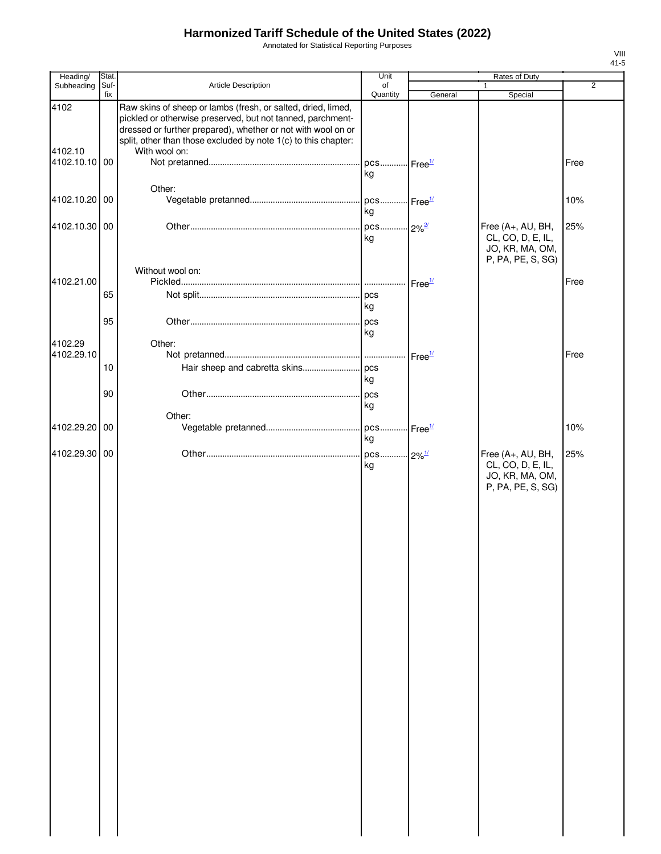Annotated for Statistical Reporting Purposes

| Heading/      | Stat. |                                                                                                                                | Unit     |                    | Rates of Duty                          |                |
|---------------|-------|--------------------------------------------------------------------------------------------------------------------------------|----------|--------------------|----------------------------------------|----------------|
| Subheading    | Suf-  | Article Description                                                                                                            | of       |                    |                                        | $\overline{2}$ |
| 4102          | fix   | Raw skins of sheep or lambs (fresh, or salted, dried, limed,                                                                   | Quantity | General            | Special                                |                |
|               |       | pickled or otherwise preserved, but not tanned, parchment-                                                                     |          |                    |                                        |                |
|               |       | dressed or further prepared), whether or not with wool on or<br>split, other than those excluded by note 1(c) to this chapter: |          |                    |                                        |                |
| 4102.10       |       | With wool on:                                                                                                                  |          |                    |                                        |                |
| 4102.10.10 00 |       |                                                                                                                                |          |                    |                                        | Free           |
|               |       |                                                                                                                                | kg       |                    |                                        |                |
|               |       | Other:                                                                                                                         |          |                    |                                        |                |
| 4102.10.20 00 |       |                                                                                                                                |          |                    |                                        | 10%            |
|               |       |                                                                                                                                | kg       |                    |                                        |                |
| 4102.10.30 00 |       |                                                                                                                                | kg       |                    | Free (A+, AU, BH,<br>CL, CO, D, E, IL, | 25%            |
|               |       |                                                                                                                                |          |                    | JO, KR, MA, OM,                        |                |
|               |       |                                                                                                                                |          |                    | P, PA, PE, S, SG)                      |                |
|               |       | Without wool on:                                                                                                               |          |                    |                                        |                |
| 4102.21.00    | 65    |                                                                                                                                |          | Free <sup>1/</sup> |                                        | Free           |
|               |       |                                                                                                                                | kg       |                    |                                        |                |
|               | 95    |                                                                                                                                | pcs      |                    |                                        |                |
|               |       |                                                                                                                                | kg       |                    |                                        |                |
| 4102.29       |       | Other:                                                                                                                         |          |                    |                                        |                |
| 4102.29.10    |       |                                                                                                                                |          | Free <sup>1/</sup> |                                        | Free           |
|               | 10    |                                                                                                                                |          |                    |                                        |                |
|               |       |                                                                                                                                | kg       |                    |                                        |                |
|               | 90    |                                                                                                                                | kg       |                    |                                        |                |
|               |       | Other:                                                                                                                         |          |                    |                                        |                |
| 4102.29.20    | 00    |                                                                                                                                |          |                    |                                        | 10%            |
|               |       |                                                                                                                                | kg       |                    |                                        |                |
| 4102.29.30 00 |       |                                                                                                                                |          |                    | Free (A+, AU, BH,                      | 25%            |
|               |       |                                                                                                                                | kg       |                    | CL, CO, D, E, IL,<br>JO, KR, MA, OM,   |                |
|               |       |                                                                                                                                |          |                    | P, PA, PE, S, SG)                      |                |
|               |       |                                                                                                                                |          |                    |                                        |                |
|               |       |                                                                                                                                |          |                    |                                        |                |
|               |       |                                                                                                                                |          |                    |                                        |                |
|               |       |                                                                                                                                |          |                    |                                        |                |
|               |       |                                                                                                                                |          |                    |                                        |                |
|               |       |                                                                                                                                |          |                    |                                        |                |
|               |       |                                                                                                                                |          |                    |                                        |                |
|               |       |                                                                                                                                |          |                    |                                        |                |
|               |       |                                                                                                                                |          |                    |                                        |                |
|               |       |                                                                                                                                |          |                    |                                        |                |
|               |       |                                                                                                                                |          |                    |                                        |                |
|               |       |                                                                                                                                |          |                    |                                        |                |
|               |       |                                                                                                                                |          |                    |                                        |                |
|               |       |                                                                                                                                |          |                    |                                        |                |
|               |       |                                                                                                                                |          |                    |                                        |                |
|               |       |                                                                                                                                |          |                    |                                        |                |
|               |       |                                                                                                                                |          |                    |                                        |                |
|               |       |                                                                                                                                |          |                    |                                        |                |
|               |       |                                                                                                                                |          |                    |                                        |                |
|               |       |                                                                                                                                |          |                    |                                        |                |
|               |       |                                                                                                                                |          |                    |                                        |                |
|               |       |                                                                                                                                |          |                    |                                        |                |
|               |       |                                                                                                                                |          |                    |                                        |                |
|               |       |                                                                                                                                |          |                    |                                        |                |
|               |       |                                                                                                                                |          |                    |                                        |                |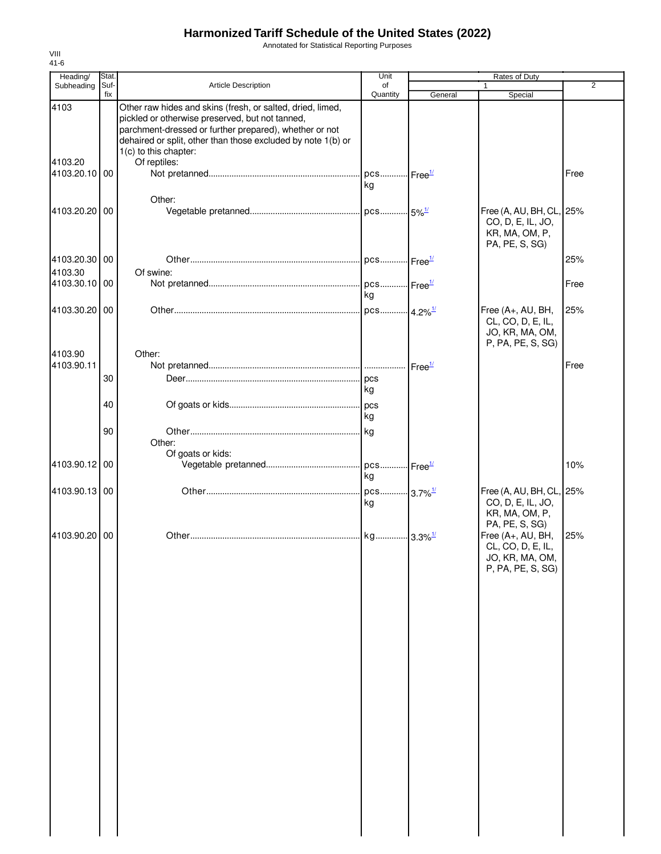Annotated for Statistical Reporting Purposes

| Heading/                 | Stat. |                                                                                                                                                 | Unit                         |         | Rates of Duty                                                                     |                |
|--------------------------|-------|-------------------------------------------------------------------------------------------------------------------------------------------------|------------------------------|---------|-----------------------------------------------------------------------------------|----------------|
| Subheading               | Suf-  | Article Description                                                                                                                             | of                           |         |                                                                                   | $\overline{2}$ |
| 4103                     | fix   | Other raw hides and skins (fresh, or salted, dried, limed,<br>pickled or otherwise preserved, but not tanned,                                   | Quantity                     | General | Special                                                                           |                |
|                          |       | parchment-dressed or further prepared), whether or not<br>dehaired or split, other than those excluded by note 1(b) or<br>1(c) to this chapter: |                              |         |                                                                                   |                |
| 4103.20                  |       | Of reptiles:                                                                                                                                    |                              |         |                                                                                   |                |
| 4103.20.10 00            |       | Other:                                                                                                                                          | pcs Free <sup>1/</sup><br>kg |         |                                                                                   | Free           |
| 4103.20.20 00            |       |                                                                                                                                                 |                              |         | Free (A, AU, BH, CL, 25%<br>CO, D, E, IL, JO,<br>KR, MA, OM, P,<br>PA, PE, S, SG) |                |
| 4103.20.30 00<br>4103.30 |       | Of swine:                                                                                                                                       |                              |         |                                                                                   | 25%            |
| 4103.30.10 00            |       |                                                                                                                                                 | pcs Free <sup>1/</sup>       |         |                                                                                   | Free           |
|                          |       |                                                                                                                                                 | kg                           |         |                                                                                   |                |
| 4103.30.20 00            |       |                                                                                                                                                 |                              |         | Free (A+, AU, BH,<br>CL, CO, D, E, IL,<br>JO, KR, MA, OM,<br>P, PA, PE, S, SG)    | 25%            |
| 4103.90                  |       | Other:                                                                                                                                          |                              |         |                                                                                   |                |
| 4103.90.11               |       |                                                                                                                                                 |                              |         |                                                                                   | Free           |
|                          | 30    |                                                                                                                                                 | kg                           |         |                                                                                   |                |
|                          | 40    |                                                                                                                                                 |                              |         |                                                                                   |                |
|                          |       |                                                                                                                                                 | kg                           |         |                                                                                   |                |
|                          | 90    | Other:<br>Of goats or kids:                                                                                                                     | kg                           |         |                                                                                   |                |
| 4103.90.12 00            |       |                                                                                                                                                 | pcs Free <sup>1/</sup><br>kg |         |                                                                                   | 10%            |
| 4103.90.13 00            |       |                                                                                                                                                 | pcs 3.7% <sup>1/</sup><br>kg |         | Free (A, AU, BH, CL, 25%<br>CO, D, E, IL, JO,<br>KR, MA, OM, P,                   |                |
| 4103.90.20 00            |       |                                                                                                                                                 | kg 3.3% <sup>1/</sup>        |         | PA, PE, S, SG)<br>Free (A+, AU, BH,<br>CL, CO, D, E, IL,<br>JO, KR, MA, OM,       | 25%            |
|                          |       |                                                                                                                                                 |                              |         | P, PA, PE, S, SG)                                                                 |                |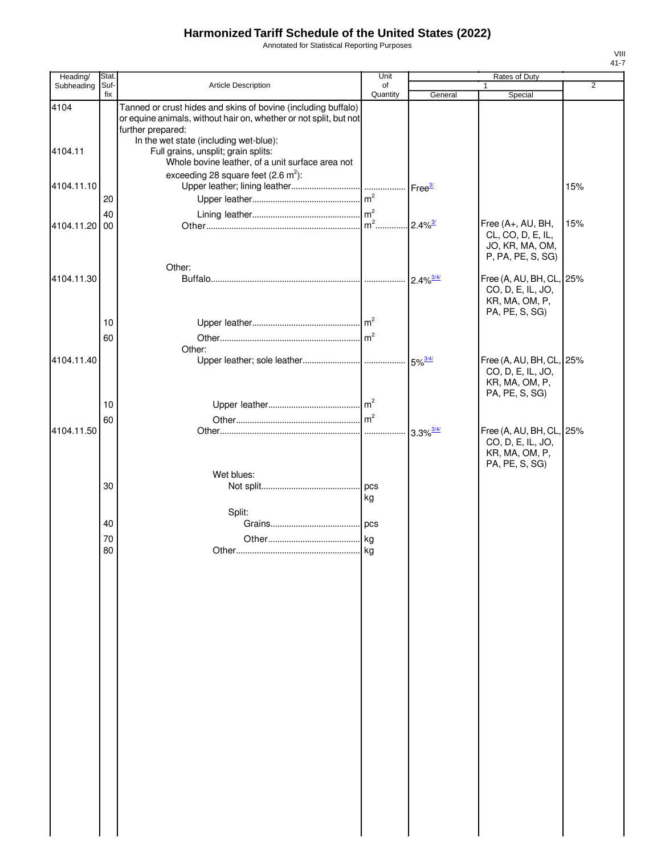Annotated for Statistical Reporting Purposes

| Heading/   | Stat.       |                                                                                                                                                         | Unit           |                         | Rates of Duty                                                                  |     |
|------------|-------------|---------------------------------------------------------------------------------------------------------------------------------------------------------|----------------|-------------------------|--------------------------------------------------------------------------------|-----|
| Subheading | Suf-<br>fix | Article Description                                                                                                                                     | of<br>Quantity | General                 | 1<br>Special                                                                   | 2   |
| 4104       |             | Tanned or crust hides and skins of bovine (including buffalo)<br>or equine animals, without hair on, whether or not split, but not<br>further prepared: |                |                         |                                                                                |     |
| 4104.11    |             | In the wet state (including wet-blue):<br>Full grains, unsplit; grain splits:<br>Whole bovine leather, of a unit surface area not                       |                |                         |                                                                                |     |
| 4104.11.10 |             | exceeding 28 square feet $(2.6 \text{ m}^2)$ :                                                                                                          |                |                         |                                                                                | 15% |
|            | 20          |                                                                                                                                                         |                |                         |                                                                                |     |
| 4104.11.20 | 40<br>00    |                                                                                                                                                         |                |                         | Free (A+, AU, BH,<br>CL, CO, D, E, IL,<br>JO, KR, MA, OM,<br>P, PA, PE, S, SG) | 15% |
| 4104.11.30 |             | Other:                                                                                                                                                  |                |                         | Free (A, AU, BH, CL,<br>CO, D, E, IL, JO,<br>KR, MA, OM, P,                    | 25% |
|            | 10          |                                                                                                                                                         |                |                         | PA, PE, S, SG)                                                                 |     |
|            | 60          | Other:                                                                                                                                                  |                |                         |                                                                                |     |
| 4104.11.40 |             |                                                                                                                                                         |                |                         | Free (A, AU, BH, CL,<br>CO, D, E, IL, JO,<br>KR, MA, OM, P,<br>PA, PE, S, SG)  | 25% |
|            | 10          |                                                                                                                                                         |                |                         |                                                                                |     |
|            | 60          |                                                                                                                                                         |                |                         |                                                                                |     |
| 4104.11.50 |             |                                                                                                                                                         |                | $3.3\%$ <sup>3/4/</sup> | Free (A, AU, BH, CL,<br>CO, D, E, IL, JO,<br>KR, MA, OM, P,<br>PA, PE, S, SG)  | 25% |
|            | 30          | Wet blues:                                                                                                                                              | pcs<br>kg      |                         |                                                                                |     |
|            |             | Split:                                                                                                                                                  |                |                         |                                                                                |     |
|            | 40          |                                                                                                                                                         |                |                         |                                                                                |     |
|            | 70<br>80    |                                                                                                                                                         | kg             |                         |                                                                                |     |
|            |             |                                                                                                                                                         |                |                         |                                                                                |     |
|            |             |                                                                                                                                                         |                |                         |                                                                                |     |
|            |             |                                                                                                                                                         |                |                         |                                                                                |     |
|            |             |                                                                                                                                                         |                |                         |                                                                                |     |
|            |             |                                                                                                                                                         |                |                         |                                                                                |     |
|            |             |                                                                                                                                                         |                |                         |                                                                                |     |
|            |             |                                                                                                                                                         |                |                         |                                                                                |     |
|            |             |                                                                                                                                                         |                |                         |                                                                                |     |
|            |             |                                                                                                                                                         |                |                         |                                                                                |     |
|            |             |                                                                                                                                                         |                |                         |                                                                                |     |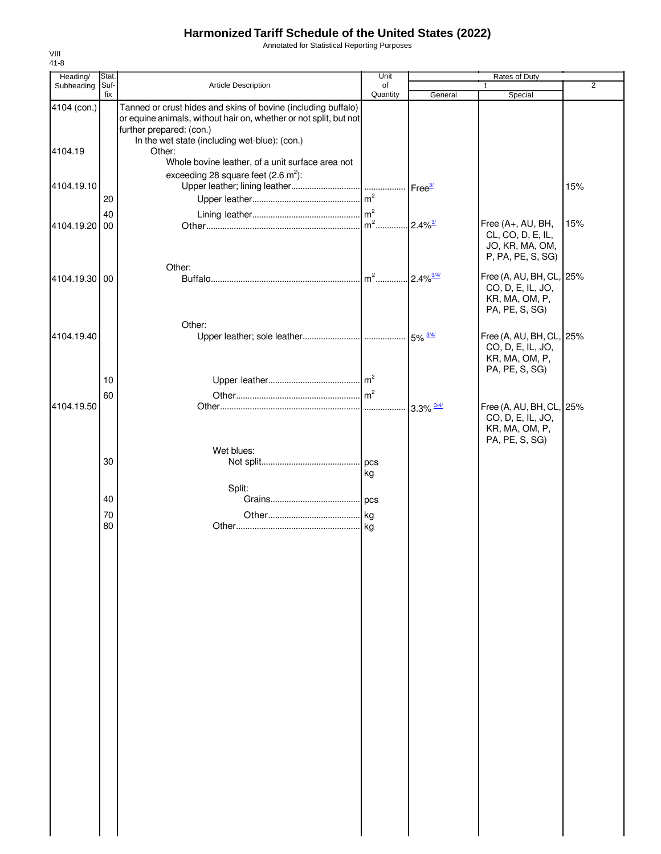Annotated for Statistical Reporting Purposes

| Heading/      | Stat.       |                                                                                                                                                                                                                 | Unit                    |                          | Rates of Duty                                                                     |                |
|---------------|-------------|-----------------------------------------------------------------------------------------------------------------------------------------------------------------------------------------------------------------|-------------------------|--------------------------|-----------------------------------------------------------------------------------|----------------|
| Subheading    | Suf-<br>fix | Article Description                                                                                                                                                                                             | of<br>Quantity          |                          |                                                                                   | $\overline{2}$ |
| 4104 (con.)   |             | Tanned or crust hides and skins of bovine (including buffalo)<br>or equine animals, without hair on, whether or not split, but not<br>further prepared: (con.)<br>In the wet state (including wet-blue): (con.) |                         | General                  | Special                                                                           |                |
| 4104.19       |             | Other:<br>Whole bovine leather, of a unit surface area not<br>exceeding 28 square feet $(2.6 \text{ m}^2)$ :                                                                                                    |                         |                          |                                                                                   |                |
| 4104.19.10    | 20          |                                                                                                                                                                                                                 |                         |                          |                                                                                   | 15%            |
| 4104.19.20    | 40<br>00    |                                                                                                                                                                                                                 | $\mathsf{m}^2$<br>$m^2$ | $2.4\%$ <sup>3/</sup>    | Free (A+, AU, BH,<br>CL, CO, D, E, IL,<br>JO, KR, MA, OM,<br>P, PA, PE, S, SG)    | 15%            |
| 4104.19.30 00 |             | Other:                                                                                                                                                                                                          | $m2$                    | $.2.4\%$ <sup>3/4/</sup> | Free (A, AU, BH, CL, 25%<br>CO, D, E, IL, JO,<br>KR, MA, OM, P,<br>PA, PE, S, SG) |                |
| 4104.19.40    |             | Other:                                                                                                                                                                                                          |                         |                          | Free (A, AU, BH, CL, 25%<br>CO, D, E, IL, JO,<br>KR, MA, OM, P,<br>PA, PE, S, SG) |                |
| 4104.19.50    | 10<br>60    |                                                                                                                                                                                                                 | $\rm{Im}^2$             | $3.3\% \frac{3/4}{ }$    | Free (A, AU, BH, CL, 25%<br>CO, D, E, IL, JO,<br>KR, MA, OM, P,                   |                |
|               | 30          | Wet blues:                                                                                                                                                                                                      | .l pcs<br>kg            |                          | PA, PE, S, SG)                                                                    |                |
|               | 40          | Split:                                                                                                                                                                                                          |                         |                          |                                                                                   |                |
|               | 70<br>80    |                                                                                                                                                                                                                 |                         |                          |                                                                                   |                |
|               |             |                                                                                                                                                                                                                 |                         |                          |                                                                                   |                |
|               |             |                                                                                                                                                                                                                 |                         |                          |                                                                                   |                |
|               |             |                                                                                                                                                                                                                 |                         |                          |                                                                                   |                |
|               |             |                                                                                                                                                                                                                 |                         |                          |                                                                                   |                |
|               |             |                                                                                                                                                                                                                 |                         |                          |                                                                                   |                |
|               |             |                                                                                                                                                                                                                 |                         |                          |                                                                                   |                |
|               |             |                                                                                                                                                                                                                 |                         |                          |                                                                                   |                |
|               |             |                                                                                                                                                                                                                 |                         |                          |                                                                                   |                |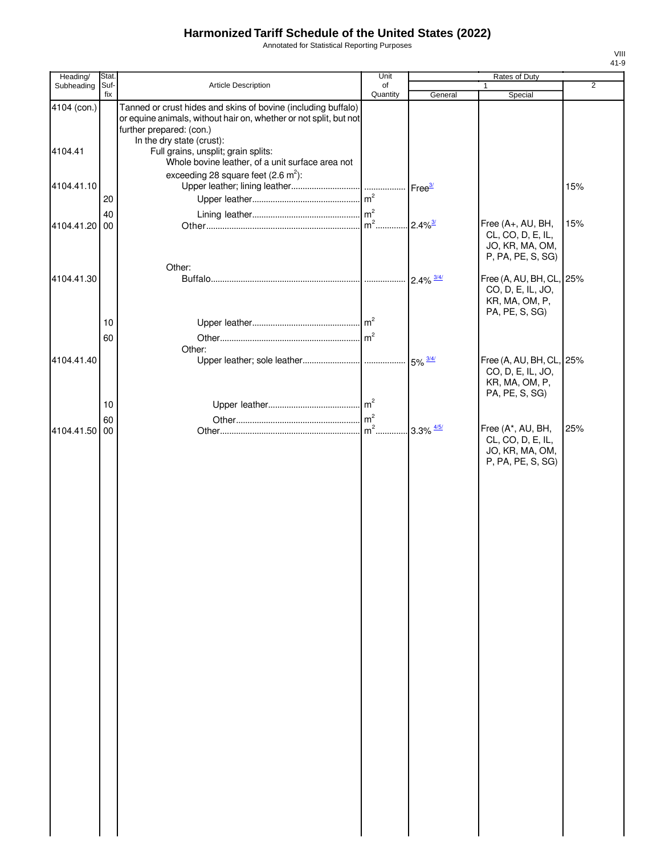Annotated for Statistical Reporting Purposes

| Heading/      | Stat.       |                                                                                                                                                                                             | Unit           |                         | Rates of Duty                                                                     |                |
|---------------|-------------|---------------------------------------------------------------------------------------------------------------------------------------------------------------------------------------------|----------------|-------------------------|-----------------------------------------------------------------------------------|----------------|
| Subheading    | Suf-<br>fix | Article Description                                                                                                                                                                         | of<br>Quantity | General                 | Special                                                                           | $\overline{2}$ |
| 4104 (con.)   |             | Tanned or crust hides and skins of bovine (including buffalo)<br>or equine animals, without hair on, whether or not split, but not<br>further prepared: (con.)<br>In the dry state (crust): |                |                         |                                                                                   |                |
| 4104.41       |             | Full grains, unsplit; grain splits:<br>Whole bovine leather, of a unit surface area not<br>exceeding 28 square feet $(2.6 \text{ m}^2)$ :                                                   |                |                         |                                                                                   |                |
| 4104.41.10    | 20          |                                                                                                                                                                                             |                |                         |                                                                                   | 15%            |
| 4104.41.20 00 | 40          |                                                                                                                                                                                             |                | $2.4\%$ <sup>3/</sup>   | Free (A+, AU, BH,<br>CL, CO, D, E, IL,<br>JO, KR, MA, OM,<br>P, PA, PE, S, SG)    | 15%            |
| 4104.41.30    |             | Other:                                                                                                                                                                                      |                |                         | Free (A, AU, BH, CL, 25%<br>CO, D, E, IL, JO,<br>KR, MA, OM, P,<br>PA, PE, S, SG) |                |
|               | 10          |                                                                                                                                                                                             |                |                         |                                                                                   |                |
|               | 60          | Other:                                                                                                                                                                                      |                |                         |                                                                                   |                |
| 4104.41.40    |             |                                                                                                                                                                                             |                |                         | Free (A, AU, BH, CL, 25%<br>CO, D, E, IL, JO,<br>KR, MA, OM, P,<br>PA, PE, S, SG) |                |
|               | 10          |                                                                                                                                                                                             |                |                         |                                                                                   |                |
| 4104.41.50 00 | 60          |                                                                                                                                                                                             | $m2$ .         | $3.3\%$ $\frac{4/5}{ }$ | Free (A*, AU, BH,                                                                 | 25%            |
|               |             |                                                                                                                                                                                             |                |                         | CL, CO, D, E, IL,<br>JO, KR, MA, OM,<br>P, PA, PE, S, SG)                         |                |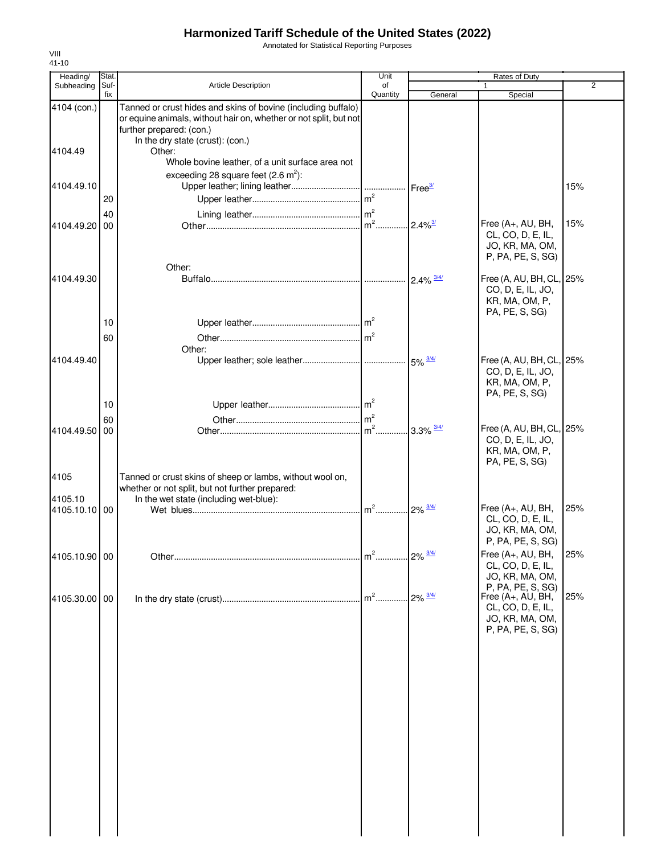Annotated for Statistical Reporting Purposes

| Heading/           | Stat.       |                                                                                                                                                                | Unit           |                          | Rates of Duty                                                                                       |                |
|--------------------|-------------|----------------------------------------------------------------------------------------------------------------------------------------------------------------|----------------|--------------------------|-----------------------------------------------------------------------------------------------------|----------------|
| Subheading         | Suf-<br>fix | Article Description                                                                                                                                            | of<br>Quantity |                          |                                                                                                     | $\overline{2}$ |
| 4104 (con.)        |             | Tanned or crust hides and skins of bovine (including buffalo)<br>or equine animals, without hair on, whether or not split, but not<br>further prepared: (con.) |                | General                  | Special                                                                                             |                |
| 4104.49            |             | In the dry state (crust): (con.)<br>Other:<br>Whole bovine leather, of a unit surface area not                                                                 |                |                          |                                                                                                     |                |
| 4104.49.10         | 20          | exceeding 28 square feet $(2.6 \text{ m}^2)$ :                                                                                                                 |                | Free <sup>3/</sup>       |                                                                                                     | 15%            |
| 4104.49.20         | 40<br>00    |                                                                                                                                                                |                | $2.4\%$ <sup>3/</sup>    | Free (A+, AU, BH,<br>CL, CO, D, E, IL,<br>JO, KR, MA, OM,<br>P, PA, PE, S, SG)                      | 15%            |
| 4104.49.30         |             | Other:                                                                                                                                                         |                | $2.4\% \frac{3/4}{ }$    | Free (A, AU, BH, CL, 25%<br>CO, D, E, IL, JO,<br>KR, MA, OM, P,<br>PA, PE, S, SG)                   |                |
|                    | 10          |                                                                                                                                                                |                |                          |                                                                                                     |                |
|                    | 60          |                                                                                                                                                                |                |                          |                                                                                                     |                |
| 4104.49.40         |             | Other:                                                                                                                                                         |                |                          | Free (A, AU, BH, CL, 25%<br>CO, D, E, IL, JO,<br>KR, MA, OM, P,<br>PA, PE, S, SG)                   |                |
|                    | 10          |                                                                                                                                                                |                |                          |                                                                                                     |                |
|                    | 60          |                                                                                                                                                                | $\mathsf{m}^2$ |                          |                                                                                                     |                |
| 4104.49.50<br>4105 | 00          | Tanned or crust skins of sheep or lambs, without wool on,                                                                                                      | $m^2$          | $3.3\%$ $\frac{3/4/}{ }$ | Free (A, AU, BH, CL, 25%<br>CO, D, E, IL, JO,<br>KR, MA, OM, P,<br>PA, PE, S, SG)                   |                |
| 4105.10            |             | whether or not split, but not further prepared:<br>In the wet state (including wet-blue):                                                                      |                |                          |                                                                                                     |                |
| 4105.10.10         | 00          |                                                                                                                                                                | $m^2$          | $.2\% \frac{3/4}{1}$     | Free (A+, AU, BH,<br>CL, CO, D, E, IL,<br>JO, KR, MA, OM,<br>P, PA, PE, S, SG)                      | 25%            |
| 4105.10.90 00      |             |                                                                                                                                                                |                |                          | Free (A+, AU, BH,<br>CL, CO, D, E, IL,<br>JO, KR, MA, OM,                                           | 25%            |
| 4105.30.00 00      |             |                                                                                                                                                                | $m2$           | $2\% \frac{3/4}{ }$      | P, PA, PE, S, SG)<br>Free (A+, AU, BH,<br>CL, CO, D, E, IL,<br>JO, KR, MA, OM,<br>P, PA, PE, S, SG) | 25%            |
|                    |             |                                                                                                                                                                |                |                          |                                                                                                     |                |
|                    |             |                                                                                                                                                                |                |                          |                                                                                                     |                |
|                    |             |                                                                                                                                                                |                |                          |                                                                                                     |                |
|                    |             |                                                                                                                                                                |                |                          |                                                                                                     |                |
|                    |             |                                                                                                                                                                |                |                          |                                                                                                     |                |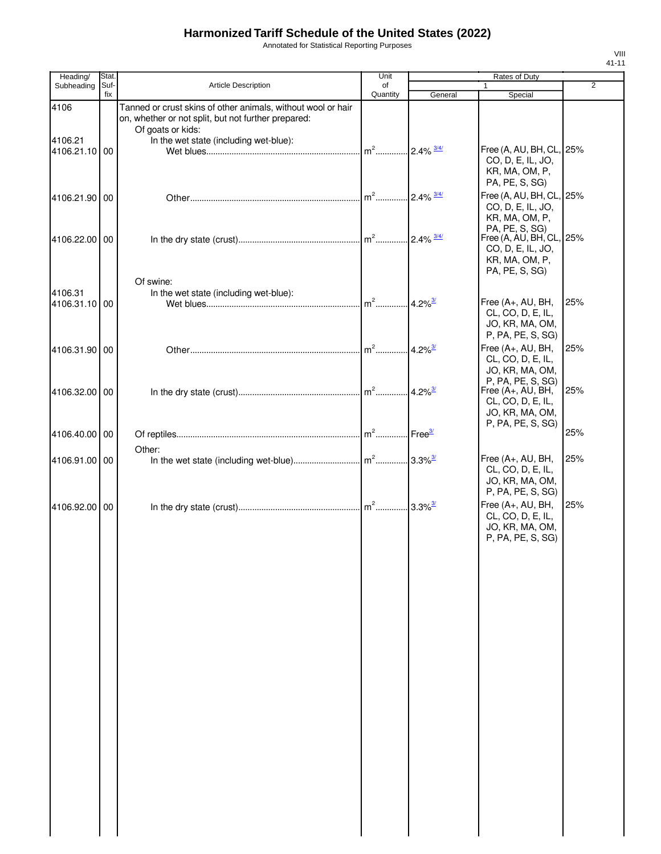Annotated for Statistical Reporting Purposes

| Heading/                 | Stat.       |                                                                                                                                          | Unit                     |                       | Rates of Duty                                                                                       |                |
|--------------------------|-------------|------------------------------------------------------------------------------------------------------------------------------------------|--------------------------|-----------------------|-----------------------------------------------------------------------------------------------------|----------------|
| Subheading               | Suf-<br>fix | <b>Article Description</b>                                                                                                               | of<br>Quantity           | General               | Special                                                                                             | $\overline{2}$ |
| 4106                     |             | Tanned or crust skins of other animals, without wool or hair<br>on, whether or not split, but not further prepared:<br>Of goats or kids: |                          |                       |                                                                                                     |                |
| 4106.21<br>4106.21.10 00 |             | In the wet state (including wet-blue):                                                                                                   | m <sup>2</sup> 2.4% 3/4/ |                       | Free (A, AU, BH, CL, 25%<br>CO, D, E, IL, JO,<br>KR, MA, OM, P,                                     |                |
| 4106.21.90 00            |             |                                                                                                                                          | $m2$                     | $2.4\% \frac{3/4}{ }$ | PA, PE, S, SG)<br>Free (A, AU, BH, CL, 25%<br>CO, D, E, IL, JO,<br>KR, MA, OM, P,                   |                |
| 4106.22.00 00            |             |                                                                                                                                          |                          |                       | PA, PE, S, SG)<br>Free (A, AU, BH, CL, 25%<br>CO, D, E, IL, JO,<br>KR, MA, OM, P,<br>PA, PE, S, SG) |                |
|                          |             | Of swine:                                                                                                                                |                          |                       |                                                                                                     |                |
| 4106.31<br>4106.31.10    | 00          | In the wet state (including wet-blue):                                                                                                   | $m2$                     | $4.2\%$ <sup>3/</sup> | Free (A+, AU, BH,<br>CL, CO, D, E, IL,<br>JO, KR, MA, OM,<br>P, PA, PE, S, SG)                      | 25%            |
| 4106.31.90 00            |             |                                                                                                                                          | $m2$                     | $4.2\%$ <sup>3/</sup> | Free (A+, AU, BH,<br>CL, CO, D, E, IL,<br>JO, KR, MA, OM,                                           | 25%            |
| 4106.32.00 00            |             |                                                                                                                                          |                          | $4.2\%$ <sup>3/</sup> | P, PA, PE, S, SG)<br>Free (A+, AU, BH,<br>CL, CO, D, E, IL,<br>JO, KR, MA, OM,                      | 25%            |
| 4106.40.00 00            |             |                                                                                                                                          |                          |                       | P, PA, PE, S, SG)                                                                                   | 25%            |
|                          |             | Other:                                                                                                                                   |                          |                       |                                                                                                     |                |
| 4106.91.00 00            |             |                                                                                                                                          |                          |                       | Free (A+, AU, BH,<br>CL, CO, D, E, IL,<br>JO, KR, MA, OM,<br>P, PA, PE, S, SG)                      | 25%            |
| 4106.92.00 00            |             |                                                                                                                                          |                          |                       | Free (A+, AU, BH,<br>CL, CO, D, E, IL,<br>JO, KR, MA, OM,<br>P, PA, PE, S, SG)                      | 25%            |
|                          |             |                                                                                                                                          |                          |                       |                                                                                                     |                |
|                          |             |                                                                                                                                          |                          |                       |                                                                                                     |                |
|                          |             |                                                                                                                                          |                          |                       |                                                                                                     |                |
|                          |             |                                                                                                                                          |                          |                       |                                                                                                     |                |
|                          |             |                                                                                                                                          |                          |                       |                                                                                                     |                |
|                          |             |                                                                                                                                          |                          |                       |                                                                                                     |                |
|                          |             |                                                                                                                                          |                          |                       |                                                                                                     |                |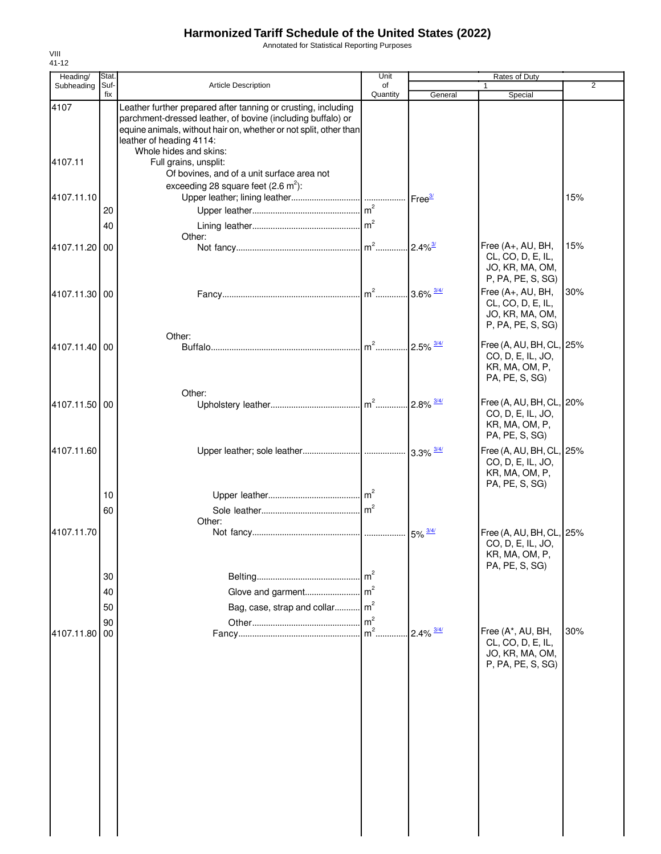Annotated for Statistical Reporting Purposes

| Heading/      | Stat.          |                                                                                                                                                                                                                                                         | Unit                                                |                          | Rates of Duty                                                                     |                |
|---------------|----------------|---------------------------------------------------------------------------------------------------------------------------------------------------------------------------------------------------------------------------------------------------------|-----------------------------------------------------|--------------------------|-----------------------------------------------------------------------------------|----------------|
| Subheading    | Suf-<br>fix    | <b>Article Description</b>                                                                                                                                                                                                                              | of<br>Quantity                                      | General                  | Special                                                                           | $\overline{2}$ |
| 4107          |                | Leather further prepared after tanning or crusting, including<br>parchment-dressed leather, of bovine (including buffalo) or<br>equine animals, without hair on, whether or not split, other than<br>leather of heading 4114:<br>Whole hides and skins: |                                                     |                          |                                                                                   |                |
| 4107.11       |                | Full grains, unsplit:<br>Of bovines, and of a unit surface area not<br>exceeding 28 square feet $(2.6 \text{ m}^2)$ :                                                                                                                                   |                                                     |                          |                                                                                   |                |
| 4107.11.10    | 20             |                                                                                                                                                                                                                                                         |                                                     |                          |                                                                                   | 15%            |
|               | 40             | Other:                                                                                                                                                                                                                                                  |                                                     |                          |                                                                                   |                |
| 4107.11.20    | 00             |                                                                                                                                                                                                                                                         |                                                     | $.2.4\%$ <sup>3/</sup>   | Free (A+, AU, BH,<br>CL, CO, D, E, IL,<br>JO, KR, MA, OM,<br>P, PA, PE, S, SG)    | 15%            |
| 4107.11.30 00 |                | Other:                                                                                                                                                                                                                                                  |                                                     |                          | Free (A+, AU, BH,<br>CL, CO, D, E, IL,<br>JO, KR, MA, OM,<br>P, PA, PE, S, SG)    | 30%            |
| 4107.11.40 00 |                |                                                                                                                                                                                                                                                         | $m2$                                                | $.2.5\%$ $\frac{3/4}{1}$ | Free (A, AU, BH, CL, 25%<br>CO, D, E, IL, JO,<br>KR, MA, OM, P,<br>PA, PE, S, SG) |                |
| 4107.11.50    | 00             | Other:                                                                                                                                                                                                                                                  |                                                     |                          | Free (A, AU, BH, CL, 20%<br>CO, D, E, IL, JO,<br>KR, MA, OM, P,<br>PA, PE, S, SG) |                |
| 4107.11.60    |                |                                                                                                                                                                                                                                                         |                                                     |                          | Free (A, AU, BH, CL, 25%<br>CO, D, E, IL, JO,<br>KR, MA, OM, P,<br>PA, PE, S, SG) |                |
|               | 10<br>60       | Other:                                                                                                                                                                                                                                                  |                                                     |                          |                                                                                   |                |
| 4107.11.70    |                |                                                                                                                                                                                                                                                         |                                                     |                          | Free (A, AU, BH, CL, 25%<br>CO, D, E, IL, JO,<br>KR, MA, OM, P,<br>PA, PE, S, SG) |                |
|               | 30<br>40<br>50 | Glove and garment<br>Bag, case, strap and collar                                                                                                                                                                                                        | $\mathsf{Im}^2$<br>m <sup>2</sup><br>$\mathsf{m}^2$ |                          |                                                                                   |                |
| 4107.11.80    | 90<br>00       |                                                                                                                                                                                                                                                         | $\mathsf{Im}^2$<br>$\mathsf{Im}^2$                  | $.2.4\%$ $\frac{3/4}{1}$ | Free (A*, AU, BH,<br>CL, CO, D, E, IL,<br>JO, KR, MA, OM,<br>P, PA, PE, S, SG)    | 30%            |
|               |                |                                                                                                                                                                                                                                                         |                                                     |                          |                                                                                   |                |
|               |                |                                                                                                                                                                                                                                                         |                                                     |                          |                                                                                   |                |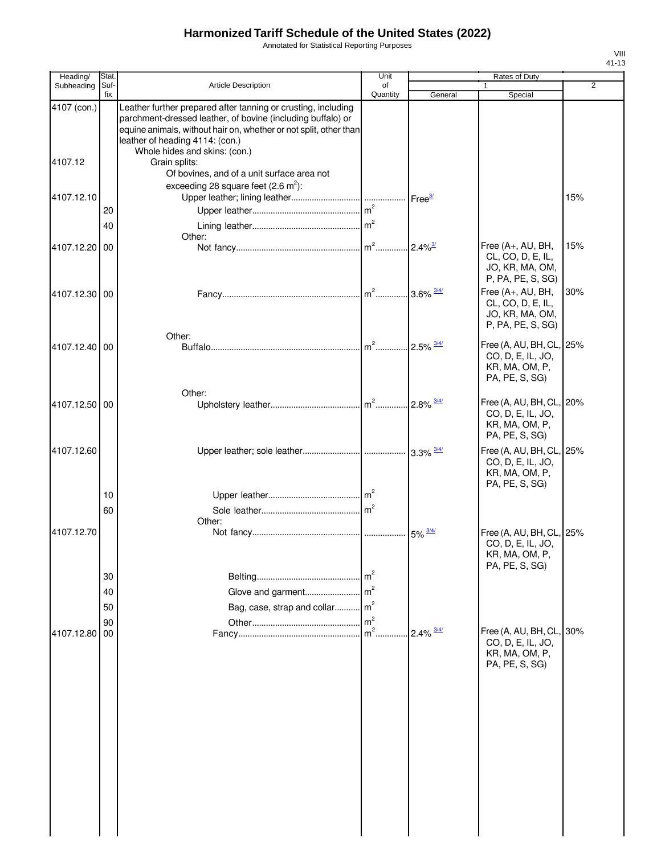Annotated for Statistical Reporting Purposes

| ı  |
|----|
| ۰, |

| Heading/      | Stat.          |                                                                                                                                                                                                                                                                       | Unit                                               |                          | <b>Rates of Duty</b>                                                              |                |
|---------------|----------------|-----------------------------------------------------------------------------------------------------------------------------------------------------------------------------------------------------------------------------------------------------------------------|----------------------------------------------------|--------------------------|-----------------------------------------------------------------------------------|----------------|
| Subheading    | Suf-<br>fix    | Article Description                                                                                                                                                                                                                                                   | of<br>Quantity                                     | General                  | 1<br>Special                                                                      | $\overline{2}$ |
| 4107 (con.)   |                | Leather further prepared after tanning or crusting, including<br>parchment-dressed leather, of bovine (including buffalo) or<br>equine animals, without hair on, whether or not split, other than<br>leather of heading 4114: (con.)<br>Whole hides and skins: (con.) |                                                    |                          |                                                                                   |                |
| 4107.12       |                | Grain splits:<br>Of bovines, and of a unit surface area not                                                                                                                                                                                                           |                                                    |                          |                                                                                   |                |
| 4107.12.10    |                | exceeding 28 square feet $(2.6 \text{ m}^2)$ :                                                                                                                                                                                                                        |                                                    |                          |                                                                                   | 15%            |
|               | 20<br>40       |                                                                                                                                                                                                                                                                       | m <sup>2</sup>                                     |                          |                                                                                   |                |
| 4107.12.20    | 00             | Other:                                                                                                                                                                                                                                                                |                                                    | $2.4\%$ <sup>3/</sup>    | Free (A+, AU, BH,<br>CL, CO, D, E, IL,<br>JO, KR, MA, OM,<br>P, PA, PE, S, SG)    | 15%            |
| 4107.12.30    | 00             |                                                                                                                                                                                                                                                                       |                                                    | $.3.6\% \frac{3/4}{1}$   | Free (A+, AU, BH,<br>CL, CO, D, E, IL,<br>JO, KR, MA, OM,<br>P, PA, PE, S, SG)    | 30%            |
| 4107.12.40 00 |                | Other:                                                                                                                                                                                                                                                                |                                                    | $.2.5\%$ $\frac{3/4}{1}$ | Free (A, AU, BH, CL, 25%<br>CO, D, E, IL, JO,<br>KR, MA, OM, P,<br>PA, PE, S, SG) |                |
| 4107.12.50 00 |                | Other:                                                                                                                                                                                                                                                                |                                                    | $.2.8\% \frac{3/4}{ }$   | Free (A, AU, BH, CL, 20%<br>CO, D, E, IL, JO,<br>KR, MA, OM, P,<br>PA, PE, S, SG) |                |
| 4107.12.60    |                |                                                                                                                                                                                                                                                                       |                                                    |                          | Free (A, AU, BH, CL, 25%<br>CO, D, E, IL, JO,<br>KR, MA, OM, P,<br>PA, PE, S, SG) |                |
|               | 10<br>60       | Other:                                                                                                                                                                                                                                                                | m <sup>2</sup>                                     |                          |                                                                                   |                |
| 4107.12.70    |                |                                                                                                                                                                                                                                                                       |                                                    | $5\% \frac{3/4}{ }$      | Free (A, AU, BH, CL, 25%<br>CO, D, E, IL, JO,<br>KR, MA, OM, P,<br>PA, PE, S, SG) |                |
|               | 30<br>40<br>50 | Glove and garment<br>Bag, case, strap and collar                                                                                                                                                                                                                      | m <sup>2</sup><br>m <sup>2</sup><br>m <sup>2</sup> |                          |                                                                                   |                |
| 4107.12.80    | 90<br>00       |                                                                                                                                                                                                                                                                       | m <sup>2</sup><br>$m^2$ .                          | $2.4\%$ $\frac{3/4/}{ }$ | Free (A, AU, BH, CL, 30%<br>CO, D, E, IL, JO,<br>KR, MA, OM, P,<br>PA, PE, S, SG) |                |
|               |                |                                                                                                                                                                                                                                                                       |                                                    |                          |                                                                                   |                |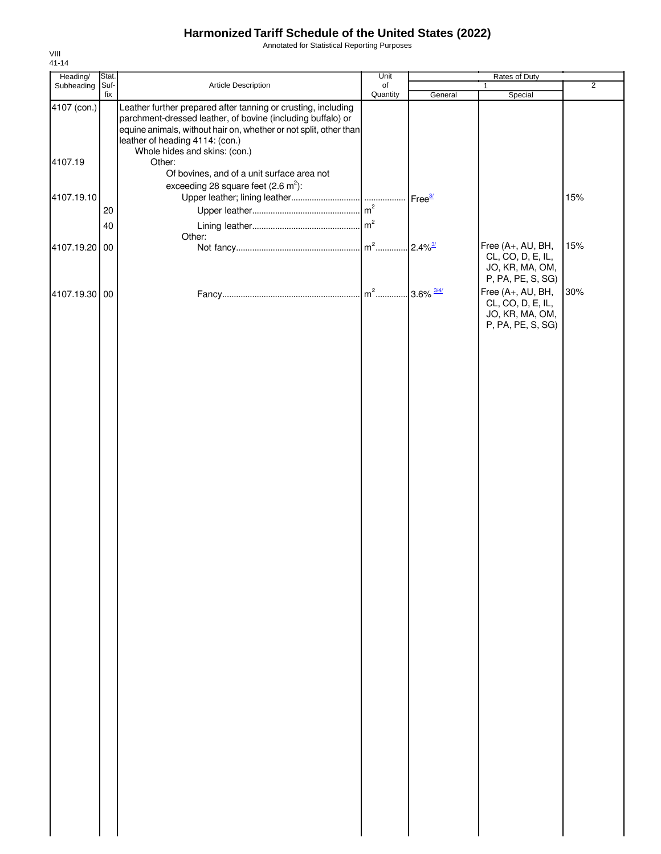Annotated for Statistical Reporting Purposes

| Heading/      | Stat. |                                                                                                                                                                                                                                                                       | Unit     |                          | Rates of Duty                                                                  |                |
|---------------|-------|-----------------------------------------------------------------------------------------------------------------------------------------------------------------------------------------------------------------------------------------------------------------------|----------|--------------------------|--------------------------------------------------------------------------------|----------------|
| Subheading    | Suf-  | Article Description                                                                                                                                                                                                                                                   | of       |                          |                                                                                | $\overline{2}$ |
| 4107 (con.)   | fix   | Leather further prepared after tanning or crusting, including<br>parchment-dressed leather, of bovine (including buffalo) or<br>equine animals, without hair on, whether or not split, other than<br>leather of heading 4114: (con.)<br>Whole hides and skins: (con.) | Quantity | General                  | Special                                                                        |                |
| 4107.19       |       | Other:<br>Of bovines, and of a unit surface area not                                                                                                                                                                                                                  |          |                          |                                                                                |                |
| 4107.19.10    | 20    | exceeding 28 square feet $(2.6 \text{ m}^2)$ :                                                                                                                                                                                                                        |          |                          |                                                                                | 15%            |
|               | 40    |                                                                                                                                                                                                                                                                       |          |                          |                                                                                |                |
| 4107.19.20 00 |       | Other:                                                                                                                                                                                                                                                                |          |                          | Free (A+, AU, BH,<br>CL, CO, D, E, IL,<br>JO, KR, MA, OM,<br>P, PA, PE, S, SG) | 15%            |
| 4107.19.30 00 |       |                                                                                                                                                                                                                                                                       |          | $.3.6\%$ $\frac{3/4}{1}$ | Free (A+, AU, BH,<br>CL, CO, D, E, IL,<br>JO, KR, MA, OM,<br>P, PA, PE, S, SG) | 30%            |
|               |       |                                                                                                                                                                                                                                                                       |          |                          |                                                                                |                |
|               |       |                                                                                                                                                                                                                                                                       |          |                          |                                                                                |                |
|               |       |                                                                                                                                                                                                                                                                       |          |                          |                                                                                |                |
|               |       |                                                                                                                                                                                                                                                                       |          |                          |                                                                                |                |
|               |       |                                                                                                                                                                                                                                                                       |          |                          |                                                                                |                |
|               |       |                                                                                                                                                                                                                                                                       |          |                          |                                                                                |                |
|               |       |                                                                                                                                                                                                                                                                       |          |                          |                                                                                |                |
|               |       |                                                                                                                                                                                                                                                                       |          |                          |                                                                                |                |
|               |       |                                                                                                                                                                                                                                                                       |          |                          |                                                                                |                |
|               |       |                                                                                                                                                                                                                                                                       |          |                          |                                                                                |                |
|               |       |                                                                                                                                                                                                                                                                       |          |                          |                                                                                |                |
|               |       |                                                                                                                                                                                                                                                                       |          |                          |                                                                                |                |
|               |       |                                                                                                                                                                                                                                                                       |          |                          |                                                                                |                |
|               |       |                                                                                                                                                                                                                                                                       |          |                          |                                                                                |                |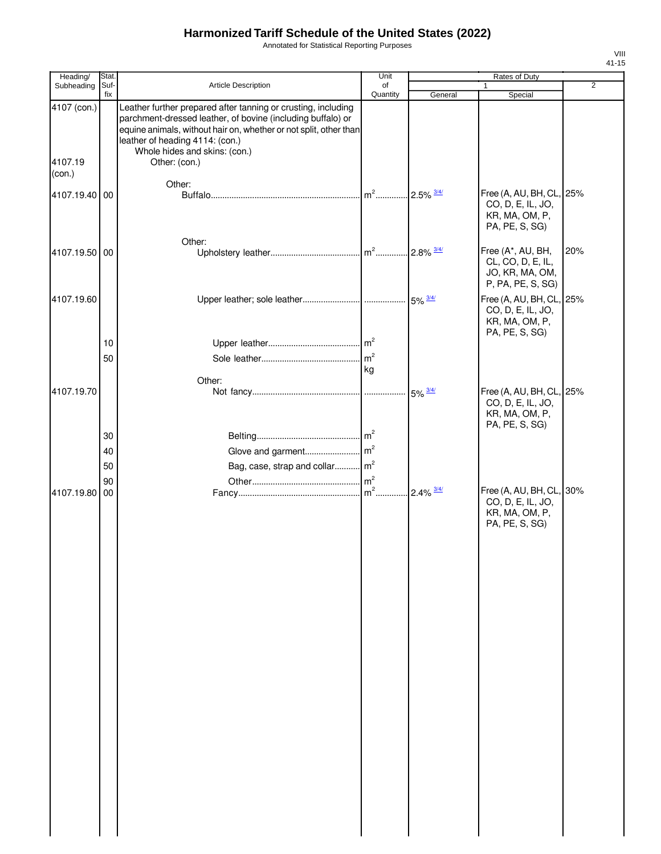Annotated for Statistical Reporting Purposes

| ۰, |
|----|

| Heading/               | Stat. |                                                                                                                                                                                                                                                                                        | Unit           |                          | Rates of Duty                                                                     |                |
|------------------------|-------|----------------------------------------------------------------------------------------------------------------------------------------------------------------------------------------------------------------------------------------------------------------------------------------|----------------|--------------------------|-----------------------------------------------------------------------------------|----------------|
| Subheading             | Suf-  | Article Description                                                                                                                                                                                                                                                                    | of             |                          | 1                                                                                 | $\overline{2}$ |
| 4107 (con.)<br>4107.19 | fix   | Leather further prepared after tanning or crusting, including<br>parchment-dressed leather, of bovine (including buffalo) or<br>equine animals, without hair on, whether or not split, other than<br>leather of heading 4114: (con.)<br>Whole hides and skins: (con.)<br>Other: (con.) | Quantity       | General                  | Special                                                                           |                |
| (con.)                 |       |                                                                                                                                                                                                                                                                                        |                |                          |                                                                                   |                |
|                        |       | Other:                                                                                                                                                                                                                                                                                 |                |                          |                                                                                   |                |
| 4107.19.40 00          |       |                                                                                                                                                                                                                                                                                        | $m2$           | $.2.5\%$ $\frac{3/4}{1}$ | Free (A, AU, BH, CL, 25%<br>CO, D, E, IL, JO,<br>KR, MA, OM, P,<br>PA, PE, S, SG) |                |
|                        |       | Other:                                                                                                                                                                                                                                                                                 |                |                          |                                                                                   |                |
| 4107.19.50 00          |       |                                                                                                                                                                                                                                                                                        |                | $.2.8\%$ $\frac{3/4}{1}$ | Free (A*, AU, BH,<br>CL, CO, D, E, IL,<br>JO, KR, MA, OM,<br>P, PA, PE, S, SG)    | 20%            |
| 4107.19.60             |       |                                                                                                                                                                                                                                                                                        |                |                          | Free (A, AU, BH, CL, 25%<br>CO, D, E, IL, JO,<br>KR, MA, OM, P,<br>PA, PE, S, SG) |                |
|                        | 10    |                                                                                                                                                                                                                                                                                        |                |                          |                                                                                   |                |
|                        | 50    |                                                                                                                                                                                                                                                                                        | m <sup>2</sup> |                          |                                                                                   |                |
|                        |       |                                                                                                                                                                                                                                                                                        | kg             |                          |                                                                                   |                |
|                        |       | Other:                                                                                                                                                                                                                                                                                 |                |                          |                                                                                   |                |
| 4107.19.70             |       |                                                                                                                                                                                                                                                                                        |                |                          | Free (A, AU, BH, CL, 25%<br>CO, D, E, IL, JO,<br>KR, MA, OM, P,<br>PA, PE, S, SG) |                |
|                        | 30    |                                                                                                                                                                                                                                                                                        |                |                          |                                                                                   |                |
|                        | 40    |                                                                                                                                                                                                                                                                                        |                |                          |                                                                                   |                |
|                        |       |                                                                                                                                                                                                                                                                                        |                |                          |                                                                                   |                |
|                        | 50    | Bag, case, strap and collar m <sup>2</sup>                                                                                                                                                                                                                                             |                |                          |                                                                                   |                |
|                        | 90    |                                                                                                                                                                                                                                                                                        |                |                          |                                                                                   |                |
| 4107.19.80             | 00    |                                                                                                                                                                                                                                                                                        |                | $2.4\% \frac{3/4}{ }$    | Free (A, AU, BH, CL, 30%<br>CO, D, E, IL, JO,<br>KR, MA, OM, P,<br>PA, PE, S, SG) |                |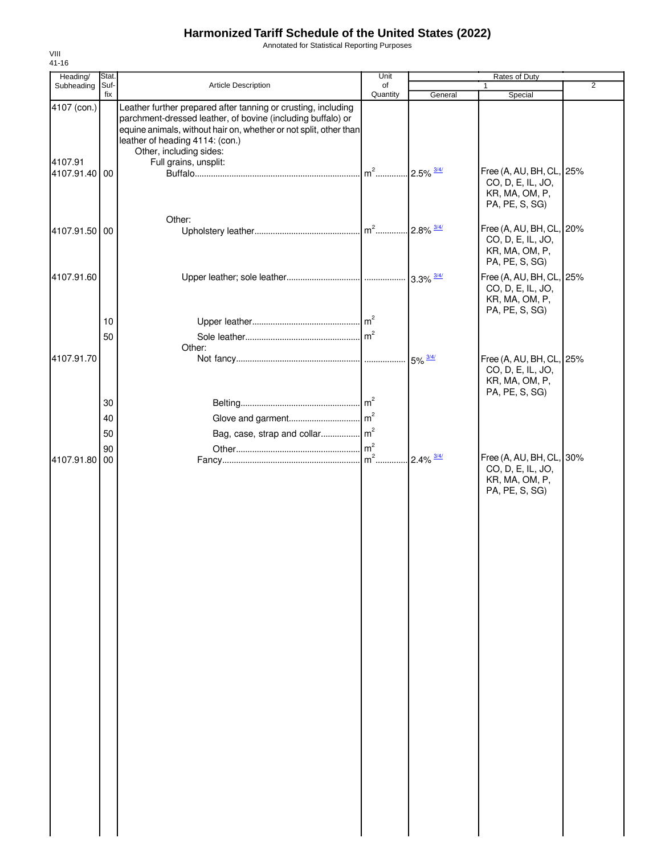Annotated for Statistical Reporting Purposes

| Heading/                 | Stat.       |                                                                                                                                                                                                                                                                 | Unit                     |                       | Rates of Duty                                                                     |   |
|--------------------------|-------------|-----------------------------------------------------------------------------------------------------------------------------------------------------------------------------------------------------------------------------------------------------------------|--------------------------|-----------------------|-----------------------------------------------------------------------------------|---|
| Subheading               | Suf-<br>fix | Article Description                                                                                                                                                                                                                                             | of<br>Quantity           | General               | Special                                                                           | 2 |
| 4107 (con.)              |             | Leather further prepared after tanning or crusting, including<br>parchment-dressed leather, of bovine (including buffalo) or<br>equine animals, without hair on, whether or not split, other than<br>leather of heading 4114: (con.)<br>Other, including sides: |                          |                       |                                                                                   |   |
| 4107.91<br>4107.91.40 00 |             | Full grains, unsplit:                                                                                                                                                                                                                                           | m <sup>2</sup> 2.5% 3/4/ |                       | Free (A, AU, BH, CL, 25%<br>CO, D, E, IL, JO,<br>KR, MA, OM, P,<br>PA, PE, S, SG) |   |
| 4107.91.50 00            |             | Other:                                                                                                                                                                                                                                                          |                          | $2.8\% \frac{3/4}{ }$ | Free (A, AU, BH, CL, 20%<br>CO, D, E, IL, JO,<br>KR, MA, OM, P,<br>PA, PE, S, SG) |   |
| 4107.91.60               |             |                                                                                                                                                                                                                                                                 |                          |                       | Free (A, AU, BH, CL, 25%<br>CO, D, E, IL, JO,<br>KR, MA, OM, P,<br>PA, PE, S, SG) |   |
|                          | 10<br>50    |                                                                                                                                                                                                                                                                 |                          |                       |                                                                                   |   |
| 4107.91.70               |             | Other:                                                                                                                                                                                                                                                          |                          |                       | Free (A, AU, BH, CL, 25%<br>CO, D, E, IL, JO,<br>KR, MA, OM, P,<br>PA, PE, S, SG) |   |
|                          | 30          |                                                                                                                                                                                                                                                                 |                          |                       |                                                                                   |   |
|                          | 40          |                                                                                                                                                                                                                                                                 |                          |                       |                                                                                   |   |
|                          | 50          |                                                                                                                                                                                                                                                                 |                          |                       |                                                                                   |   |
| 4107.91.80 00            | 90          |                                                                                                                                                                                                                                                                 |                          |                       | Free (A, AU, BH, CL, 30%<br>CO, D, E, IL, JO,<br>KR, MA, OM, P,<br>PA, PE, S, SG) |   |
|                          |             |                                                                                                                                                                                                                                                                 |                          |                       |                                                                                   |   |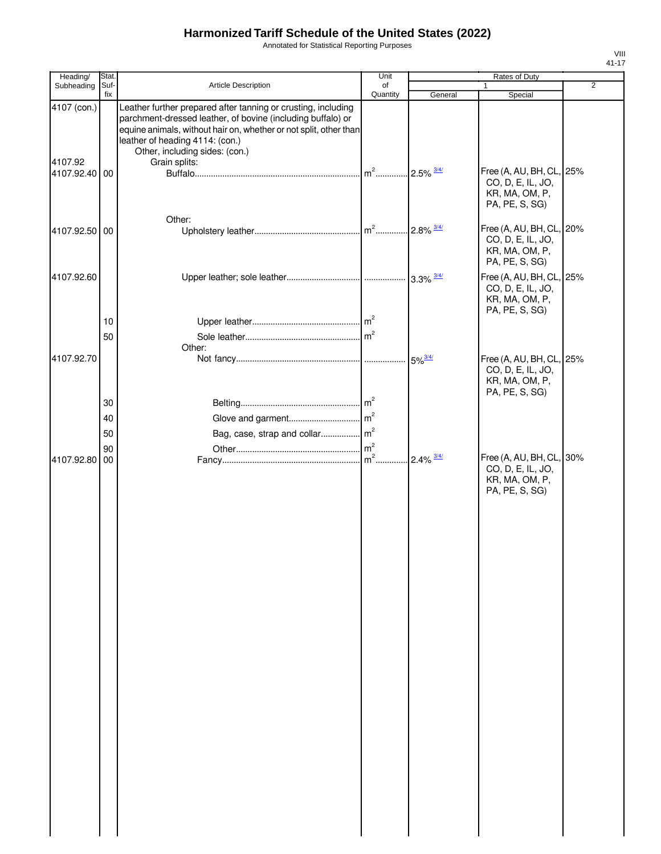Annotated for Statistical Reporting Purposes

| of<br>Quantity<br>Leather further prepared after tanning or crusting, including<br>parchment-dressed leather, of bovine (including buffalo) or<br>equine animals, without hair on, whether or not split, other than<br>m <sup>2</sup> 2.5% 3/4/ | General               | 1<br>Special                                                                      | $\overline{2}$                                                                                                                                   |
|-------------------------------------------------------------------------------------------------------------------------------------------------------------------------------------------------------------------------------------------------|-----------------------|-----------------------------------------------------------------------------------|--------------------------------------------------------------------------------------------------------------------------------------------------|
|                                                                                                                                                                                                                                                 |                       |                                                                                   |                                                                                                                                                  |
|                                                                                                                                                                                                                                                 |                       |                                                                                   |                                                                                                                                                  |
|                                                                                                                                                                                                                                                 |                       | Free (A, AU, BH, CL, 25%<br>CO, D, E, IL, JO,<br>KR, MA, OM, P,<br>PA, PE, S, SG) |                                                                                                                                                  |
|                                                                                                                                                                                                                                                 |                       | CO, D, E, IL, JO,<br>KR, MA, OM, P,<br>PA, PE, S, SG)                             |                                                                                                                                                  |
|                                                                                                                                                                                                                                                 |                       | CO, D, E, IL, JO,<br>KR, MA, OM, P,                                               |                                                                                                                                                  |
| m <sup>2</sup>                                                                                                                                                                                                                                  |                       |                                                                                   |                                                                                                                                                  |
|                                                                                                                                                                                                                                                 |                       | CO, D, E, IL, JO,<br>KR, MA, OM, P,                                               |                                                                                                                                                  |
|                                                                                                                                                                                                                                                 |                       |                                                                                   |                                                                                                                                                  |
|                                                                                                                                                                                                                                                 |                       |                                                                                   |                                                                                                                                                  |
|                                                                                                                                                                                                                                                 |                       |                                                                                   |                                                                                                                                                  |
| $m2$                                                                                                                                                                                                                                            | $2.4\% \frac{3/4}{ }$ | CO, D, E, IL, JO,<br>KR, MA, OM, P,                                               |                                                                                                                                                  |
|                                                                                                                                                                                                                                                 |                       | PA, PE, S, SG)                                                                    |                                                                                                                                                  |
|                                                                                                                                                                                                                                                 | $\rm{m}^2$            | $3.3\%$ $\frac{3/4/}{ }$                                                          | Free (A, AU, BH, CL, 20%<br>Free (A, AU, BH, CL, 25%<br>PA, PE, S, SG)<br>Free (A, AU, BH, CL, 25%<br>PA, PE, S, SG)<br>Free (A, AU, BH, CL, 30% |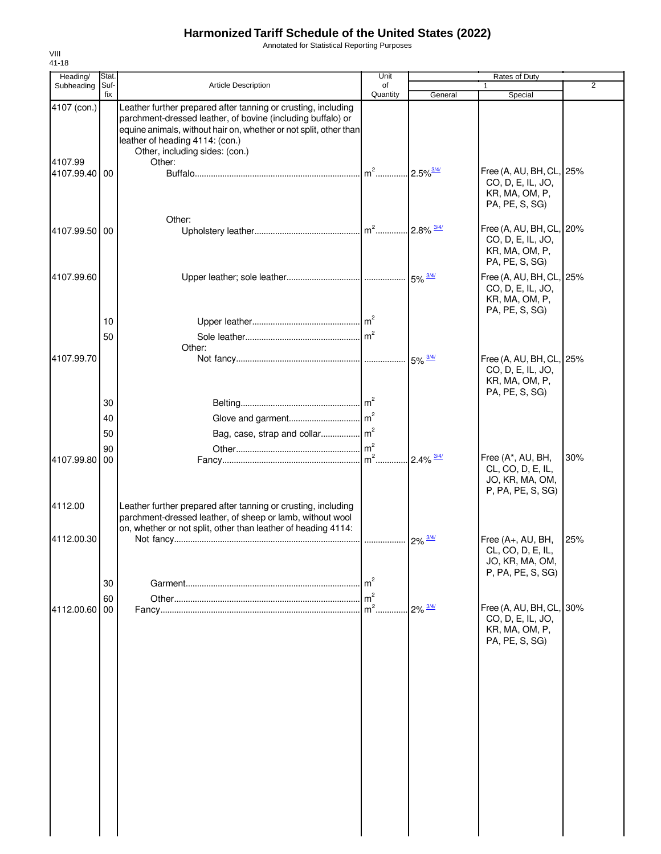Annotated for Statistical Reporting Purposes

| Heading/                 | Stat.       |                                                                                                                                                                                                                                                                        | Unit            |                          | Rates of Duty                                                                     |                |
|--------------------------|-------------|------------------------------------------------------------------------------------------------------------------------------------------------------------------------------------------------------------------------------------------------------------------------|-----------------|--------------------------|-----------------------------------------------------------------------------------|----------------|
| Subheading               | Suf-<br>fix | <b>Article Description</b>                                                                                                                                                                                                                                             | of<br>Quantity  | General                  | 1<br>Special                                                                      | $\overline{2}$ |
| 4107 (con.)              |             | Leather further prepared after tanning or crusting, including<br>parchment-dressed leather, of bovine (including buffalo) or<br>equine animals, without hair on, whether or not split, other than<br>leather of heading 4114: (con.)<br>Other, including sides: (con.) |                 |                          |                                                                                   |                |
| 4107.99<br>4107.99.40 00 |             | Other:                                                                                                                                                                                                                                                                 | $m2$            | $2.5\%$ <sup>3/4/</sup>  | Free (A, AU, BH, CL, 25%<br>CO, D, E, IL, JO,<br>KR, MA, OM, P,<br>PA, PE, S, SG) |                |
| 4107.99.50 00            |             | Other:                                                                                                                                                                                                                                                                 |                 |                          | Free (A, AU, BH, CL, 20%<br>CO, D, E, IL, JO,<br>KR, MA, OM, P,<br>PA, PE, S, SG) |                |
| 4107.99.60               |             |                                                                                                                                                                                                                                                                        |                 | $.5\%$ $\frac{3/4/}{4}$  | Free (A, AU, BH, CL, 25%<br>CO, D, E, IL, JO,<br>KR, MA, OM, P,<br>PA, PE, S, SG) |                |
|                          | 10<br>50    |                                                                                                                                                                                                                                                                        |                 |                          |                                                                                   |                |
| 4107.99.70               |             | Other:                                                                                                                                                                                                                                                                 |                 |                          | Free (A, AU, BH, CL, 25%<br>CO, D, E, IL, JO,<br>KR, MA, OM, P,<br>PA, PE, S, SG) |                |
|                          | 30          |                                                                                                                                                                                                                                                                        |                 |                          |                                                                                   |                |
|                          | 40          |                                                                                                                                                                                                                                                                        |                 |                          |                                                                                   |                |
|                          | 50          | Bag, case, strap and collar m <sup>2</sup>                                                                                                                                                                                                                             |                 |                          |                                                                                   |                |
| 4107.99.80               | 90<br>00    |                                                                                                                                                                                                                                                                        |                 | $.2.4\%$ $\frac{3/4}{1}$ | Free (A*, AU, BH,<br>CL, CO, D, E, IL,<br>JO, KR, MA, OM,<br>P, PA, PE, S, SG)    | 30%            |
| 4112.00                  |             | Leather further prepared after tanning or crusting, including<br>parchment-dressed leather, of sheep or lamb, without wool<br>on, whether or not split, other than leather of heading 4114:                                                                            |                 |                          |                                                                                   |                |
| 4112.00.30               |             |                                                                                                                                                                                                                                                                        |                 | $2\% \frac{3/4}{ }$      | Free (A+, AU, BH,<br>CL, CO, D, E, IL,<br>JO, KR, MA, OM,<br>P, PA, PE, S, SG)    | 25%            |
|                          | 30          |                                                                                                                                                                                                                                                                        | $\mathsf{Im}^2$ |                          |                                                                                   |                |
| 4112.00.60               | 60<br>00    |                                                                                                                                                                                                                                                                        | $\mathsf{Im}^2$ | $2\% \frac{3/4/}{ }$     | Free (A, AU, BH, CL, 30%<br>CO, D, E, IL, JO,<br>KR, MA, OM, P,<br>PA, PE, S, SG) |                |
|                          |             |                                                                                                                                                                                                                                                                        |                 |                          |                                                                                   |                |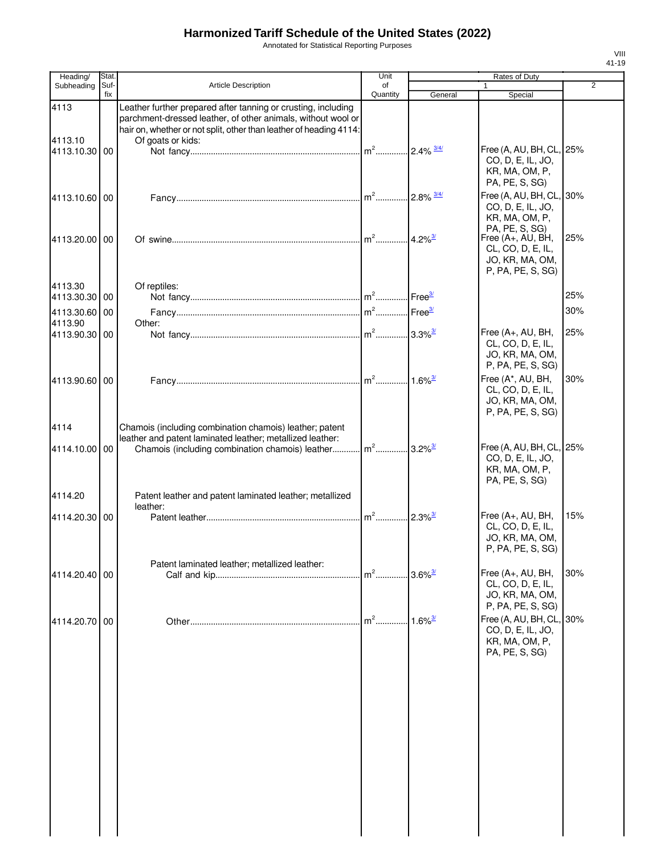Annotated for Statistical Reporting Purposes

| Heading/                 | Stat.       |                                                                                                                                                                                                                          | Unit                              |                                              | Rates of Duty                                                                     |                |
|--------------------------|-------------|--------------------------------------------------------------------------------------------------------------------------------------------------------------------------------------------------------------------------|-----------------------------------|----------------------------------------------|-----------------------------------------------------------------------------------|----------------|
| Subheading               | Suf-<br>fix | <b>Article Description</b>                                                                                                                                                                                               | of<br>Quantity                    | General                                      | Special                                                                           | $\overline{2}$ |
| 4113<br>4113.10          |             | Leather further prepared after tanning or crusting, including<br>parchment-dressed leather, of other animals, without wool or<br>hair on, whether or not split, other than leather of heading 4114:<br>Of goats or kids: |                                   |                                              |                                                                                   |                |
| 4113.10.30 00            |             |                                                                                                                                                                                                                          |                                   |                                              | Free (A, AU, BH, CL, 25%<br>CO, D, E, IL, JO,<br>KR, MA, OM, P,<br>PA, PE, S, SG) |                |
| 4113.10.60 00            |             |                                                                                                                                                                                                                          | $\mathsf{m}^2$                    | $2.8\% \frac{3/4}{ }$                        | Free (A, AU, BH, CL, 30%<br>CO, D, E, IL, JO,<br>KR, MA, OM, P,<br>PA, PE, S, SG) |                |
| 4113.20.00 00            |             |                                                                                                                                                                                                                          |                                   | $4.2\%$ <sup>3/</sup>                        | Free (A+, AU, BH,<br>CL, CO, D, E, IL,<br>JO, KR, MA, OM,<br>P, PA, PE, S, SG)    | 25%            |
| 4113.30<br>4113.30.30 00 |             | Of reptiles:                                                                                                                                                                                                             |                                   | $\mathsf{Free}^{\underline{\mathsf{3\ell}}}$ |                                                                                   | 25%            |
| 4113.30.60               | 00          |                                                                                                                                                                                                                          | m <sup>2</sup> Free <sup>3/</sup> |                                              |                                                                                   | 30%            |
| 4113.90                  |             | Other:                                                                                                                                                                                                                   |                                   |                                              |                                                                                   |                |
| 4113.90.30 00            |             |                                                                                                                                                                                                                          | m <sup>2</sup> 3.3% <sup>3/</sup> |                                              | Free (A+, AU, BH,<br>CL, CO, D, E, IL,<br>JO, KR, MA, OM,<br>P, PA, PE, S, SG)    | 25%            |
| 4113.90.60 00<br>4114    |             | Chamois (including combination chamois) leather; patent                                                                                                                                                                  | $m2$                              | $1.6\%$ <sup>3/</sup>                        | Free (A*, AU, BH,<br>CL, CO, D, E, IL,<br>JO, KR, MA, OM,<br>P, PA, PE, S, SG)    | 30%            |
|                          |             | leather and patent laminated leather; metallized leather:                                                                                                                                                                |                                   |                                              |                                                                                   |                |
| 4114.10.00 00            |             | Chamois (including combination chamois) leather                                                                                                                                                                          | m <sup>2</sup> 3.2% <sup>3/</sup> |                                              | Free (A, AU, BH, CL, 25%<br>CO, D, E, IL, JO,<br>KR, MA, OM, P,<br>PA, PE, S, SG) |                |
| 4114.20                  |             | Patent leather and patent laminated leather; metallized<br>leather:                                                                                                                                                      |                                   |                                              |                                                                                   |                |
| 4114.20.30               | 00          |                                                                                                                                                                                                                          | $m2$                              | $2.3\%$ <sup>3/</sup>                        | Free (A+, AU, BH,<br>CL, CO, D, E, IL,<br>JO, KR, MA, OM,<br>P, PA, PE, S, SG)    | 15%            |
| 4114.20.40 00            |             | Patent laminated leather; metallized leather:                                                                                                                                                                            |                                   |                                              | Free (A+, AU, BH,<br>CL, CO, D, E, IL,<br>JO, KR, MA, OM,<br>P, PA, PE, S, SG)    | 30%            |
| 4114.20.70               | 00          |                                                                                                                                                                                                                          | $m2$ .                            | $1.6\%$ <sup>3/</sup>                        | Free (A, AU, BH, CL, 30%<br>CO, D, E, IL, JO,<br>KR, MA, OM, P,<br>PA, PE, S, SG) |                |
|                          |             |                                                                                                                                                                                                                          |                                   |                                              |                                                                                   |                |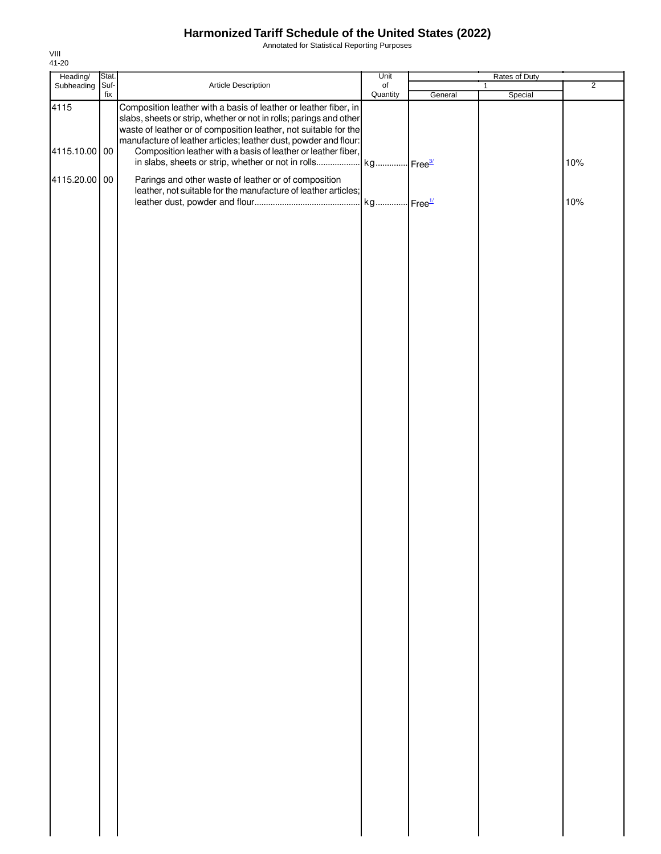Annotated for Statistical Reporting Purposes

| Heading/              | Stat.       |                                                                                                                                                                                                                                                                                                                                                 | Unit                         | Rates of Duty |                         |                |
|-----------------------|-------------|-------------------------------------------------------------------------------------------------------------------------------------------------------------------------------------------------------------------------------------------------------------------------------------------------------------------------------------------------|------------------------------|---------------|-------------------------|----------------|
| Subheading            | Suf-<br>fix | Article Description                                                                                                                                                                                                                                                                                                                             | $_{\mathsf{of}}$<br>Quantity | General       | $\mathbf{1}$<br>Special | $\overline{2}$ |
| 4115<br>4115.10.00 00 |             | Composition leather with a basis of leather or leather fiber, in<br>slabs, sheets or strip, whether or not in rolls; parings and other<br>waste of leather or of composition leather, not suitable for the<br>manufacture of leather articles; leather dust, powder and flour:<br>Composition leather with a basis of leather or leather fiber, |                              |               |                         |                |
| 4115.20.00 00         |             | Parings and other waste of leather or of composition                                                                                                                                                                                                                                                                                            |                              |               |                         |                |
|                       |             | leather, not suitable for the manufacture of leather articles;                                                                                                                                                                                                                                                                                  |                              |               |                         | 10%<br>10%     |
|                       |             |                                                                                                                                                                                                                                                                                                                                                 |                              |               |                         |                |
|                       |             |                                                                                                                                                                                                                                                                                                                                                 |                              |               |                         |                |
|                       |             |                                                                                                                                                                                                                                                                                                                                                 |                              |               |                         |                |
|                       |             |                                                                                                                                                                                                                                                                                                                                                 |                              |               |                         |                |
|                       |             |                                                                                                                                                                                                                                                                                                                                                 |                              |               |                         |                |